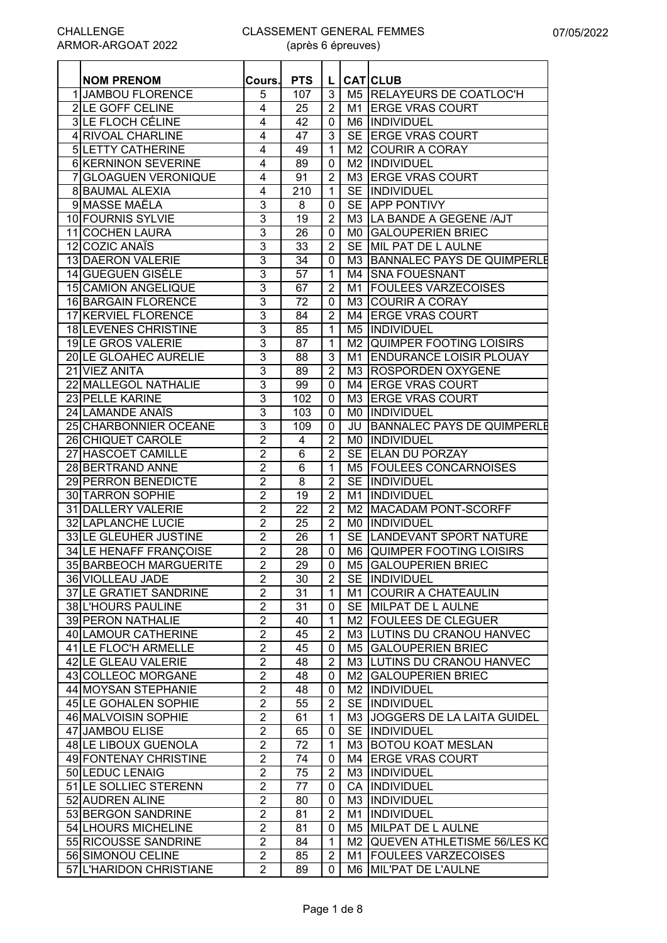| <b>NOM PRENOM</b>        | Cours.           | <b>PTS</b> |                |      | L CATCLUB                            |
|--------------------------|------------------|------------|----------------|------|--------------------------------------|
| <b>1 JAMBOU FLORENCE</b> | 5                | 107        | $\mathbf{3}$   |      | M5 RELAYEURS DE COATLOC'H            |
| 2 LE GOFF CELINE         | 4                | 25         | $\overline{2}$ |      | M1 ERGE VRAS COURT                   |
| <b>3LE FLOCH CÉLINE</b>  | 4                | 42         | $\mathbf 0$    |      | M6 INDIVIDUEL                        |
| 4 RIVOAL CHARLINE        | 4                | 47         | $\mathbf{3}$   |      | SE ERGE VRAS COURT                   |
|                          |                  |            |                |      |                                      |
| <b>5 LETTY CATHERINE</b> | 4                | 49         | $\mathbf 1$    |      | M2 COURIR A CORAY                    |
| 6 KERNINON SEVERINE      | 4                | 89         | $\mathbf 0$    |      | M2  INDIVIDUEL                       |
| 7 GLOAGUEN VERONIQUE     | 4                | 91         | $\overline{2}$ |      | M3 ERGE VRAS COURT                   |
| 8 BAUMAL ALEXIA          | 4                | 210        | $\mathbf 1$    |      | SE INDIVIDUEL                        |
| 9 MASSE MAËLA            | 3                | 8          | 0              |      | SE APP PONTIVY                       |
| 10 FOURNIS SYLVIE        | 3                | 19         | $\overline{2}$ |      | M3 LA BANDE A GEGENE /AJT            |
| 11 COCHEN LAURA          | 3                | 26         | $\mathbf 0$    |      | MO GALOUPERIEN BRIEC                 |
| 12 COZIC ANAÏS           | 3                | 33         | $\overline{2}$ |      | SE MIL PAT DE L AULNE                |
| 13 DAERON VALERIE        | 3                | 34         | $\mathbf 0$    |      | M3 BANNALEC PAYS DE QUIMPERLE        |
| 14 GUEGUEN GISÈLE        | 3                | 57         | $\mathbf{1}$   |      | M4 SNA FOUESNANT                     |
| 15 CAMION ANGELIQUE      | 3                | 67         | $\overline{2}$ |      | M1 FOULEES VARZECOISES               |
| 16 BARGAIN FLORENCE      | 3                | 72         | $\mathbf 0$    | M3   | <b>COURIR A CORAY</b>                |
| 17 KERVIEL FLORENCE      | 3                | 84         | $\overline{2}$ |      | M4 ERGE VRAS COURT                   |
| 18 LEVENES CHRISTINE     | 3                | 85         | $\mathbf{1}$   |      | <b>M5 IINDIVIDUEL</b>                |
| 19LE GROS VALERIE        | 3                | 87         | $\mathbf 1$    |      | M2 QUIMPER FOOTING LOISIRS           |
| 20 LE GLOAHEC AURELIE    | 3                | 88         | 3              | M1   | <b>ENDURANCE LOISIR PLOUAY</b>       |
| 21 VIEZ ANITA            | $\overline{3}$   | 89         | $\overline{2}$ |      | M3 ROSPORDEN OXYGENE                 |
| 22 MALLEGOL NATHALIE     | 3                | 99         | $\mathbf 0$    | M4 I | <b>ERGE VRAS COURT</b>               |
| 23 PELLE KARINE          | $\overline{3}$   | 102        | 0              |      | M3 ERGE VRAS COURT                   |
| 24 LAMANDE ANAÏS         | $\overline{3}$   | 103        | 0              |      | <b>MO IINDIVIDUEL</b>                |
| 25 CHARBONNIER OCEANE    | 3                | 109        | 0              |      | <b>JU BANNALEC PAYS DE QUIMPERLE</b> |
| 26 CHIQUET CAROLE        | $\overline{2}$   | 4          | $\overline{2}$ |      | MO INDIVIDUEL                        |
| 27 HASCOET CAMILLE       | 2                | 6          | $\overline{2}$ |      | SE ELAN DU PORZAY                    |
| 28 BERTRAND ANNE         | 2                | 6          | 1              |      | M5 FOULEES CONCARNOISES              |
| 29 PERRON BENEDICTE      | $\overline{c}$   | 8          | $\overline{2}$ |      | SE INDIVIDUEL                        |
| 30 TARRON SOPHIE         | $\overline{2}$   | 19         | $\overline{2}$ |      | M1 INDIVIDUEL                        |
| 31 DALLERY VALERIE       | $\overline{2}$   | 22         | $\overline{2}$ |      | M2 MACADAM PONT-SCORFF               |
| 32 LAPLANCHE LUCIE       | $\overline{2}$   | 25         | $\overline{2}$ |      | MO INDIVIDUEL                        |
| 33 LE GLEUHER JUSTINE    | $\overline{2}$   | 26         | $\mathbf{1}$   |      | SE LANDEVANT SPORT NATURE            |
| 34 LE HENAFF FRANÇOISE   | $\overline{2}$   | 28         | $\mathbf 0$    |      | M6 QUIMPER FOOTING LOISIRS           |
| 35 BARBEOCH MARGUERITE   | $\overline{2}$   | 29         |                |      | 0   M5 GALOUPERIEN BRIEC             |
| 36 VIOLLEAU JADE         | $\overline{2}$   | 30         | $\overline{2}$ |      | SE INDIVIDUEL                        |
| 37 LE GRATIET SANDRINE   | 2                | 31         | 1              | M1   | <b>COURIR A CHATEAULIN</b>           |
| 38 L'HOURS PAULINE       | $\overline{2}$   | 31         | $\mathbf 0$    |      | SE MILPAT DE L AULNE                 |
| 39 PERON NATHALIE        | $\overline{c}$   | 40         | 1              |      | M2 FOULEES DE CLEGUER                |
| 40 LAMOUR CATHERINE      | $\overline{2}$   | 45         | $\overline{2}$ |      | M3 LUTINS DU CRANOU HANVEC           |
| 41 LE FLOC'H ARMELLE     | $\boldsymbol{2}$ | 45         | 0              | M5   | <b>GALOUPERIEN BRIEC</b>             |
| 42 LE GLEAU VALERIE      | $\overline{2}$   | 48         | $\overline{2}$ |      | M3 LUTINS DU CRANOU HANVEC           |
| 43 COLLEOC MORGANE       | $\overline{2}$   | 48         | $\mathbf 0$    | M2   | <b>GALOUPERIEN BRIEC</b>             |
| 44 MOYSAN STEPHANIE      | $\overline{2}$   | 48         | $\mathbf 0$    |      | M2  INDIVIDUEL                       |
| 45 LE GOHALEN SOPHIE     | $\overline{2}$   | 55         | $\overline{2}$ |      | SE INDIVIDUEL                        |
| 46 MALVOISIN SOPHIE      | $\overline{2}$   | 61         | $\mathbf{1}$   |      | M3 JOGGERS DE LA LAITA GUIDEL        |
| 47 JAMBOU ELISE          | $\overline{2}$   | 65         | $\mathbf 0$    |      | SE INDIVIDUEL                        |
| 48 LE LIBOUX GUENOLA     | $\overline{2}$   | 72         | $\mathbf 1$    |      | M3 BOTOU KOAT MESLAN                 |
| 49 FONTENAY CHRISTINE    | $\overline{2}$   | 74         | $\mathbf 0$    | M4 I | <b>ERGE VRAS COURT</b>               |
| 50 LEDUC LENAIG          | $\overline{2}$   | 75         | $\overline{2}$ |      | M3 INDIVIDUEL                        |
| 51 LE SOLLIEC STERENN    | $\overline{2}$   | 77         | $\mathbf 0$    |      | <b>CA INDIVIDUEL</b>                 |
| 52 AUDREN ALINE          | $\overline{2}$   | 80         | $\mathbf 0$    |      | M3 INDIVIDUEL                        |
| 53 BERGON SANDRINE       | 2                |            | $\overline{2}$ |      | INDIVIDUEL                           |
|                          |                  | 81         |                | M1   |                                      |
| 54 LHOURS MICHELINE      | $\overline{2}$   | 81         | 0              |      | M5 MILPAT DE L AULNE                 |
| 55 RICOUSSE SANDRINE     | $\overline{2}$   | 84         | $\mathbf 1$    | M2   | <b>QUEVEN ATHLETISME 56/LES KO</b>   |
| 56 SIMONOU CELINE        | $\overline{2}$   | 85         | $\overline{2}$ |      | M1   FOULEES VARZECOISES             |
| 57 L'HARIDON CHRISTIANE  | $\overline{2}$   | 89         | 0              |      | M6 MIL'PAT DE L'AULNE                |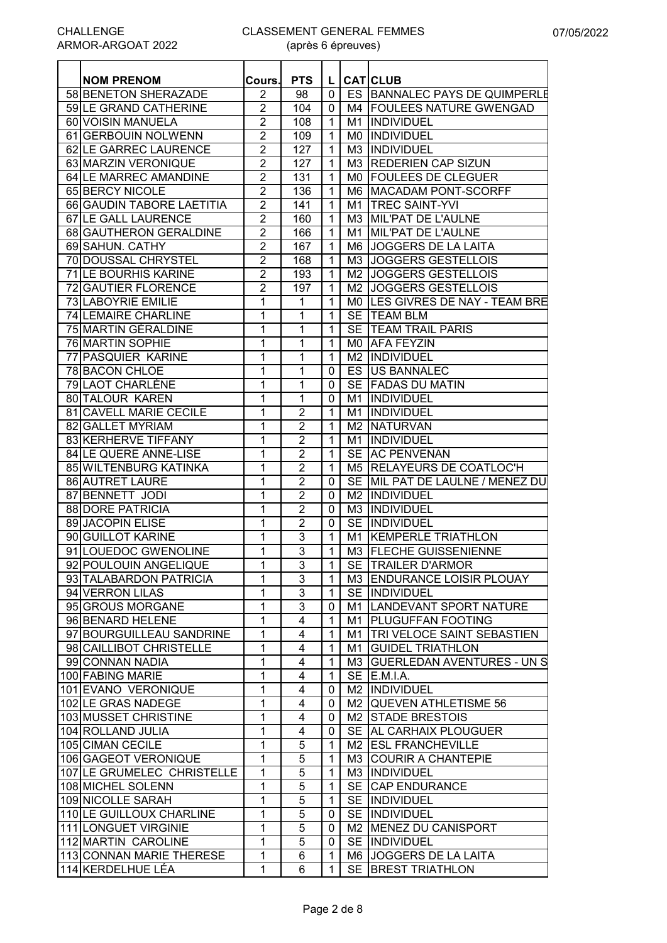#### CLASSEMENT GENERAL FEMMES (après 6 épreuves)

| <b>NOM PRENOM</b>          | Cours.              | <b>PTS</b>     | $\mathsf{L}$   |     | <b>CAT</b> CLUB                 |  |
|----------------------------|---------------------|----------------|----------------|-----|---------------------------------|--|
| 58 BENETON SHERAZADE       | $\overline{2}$      | 98             | $\mathbf 0$    |     | ES BANNALEC PAYS DE QUIMPERLE   |  |
| 59 LE GRAND CATHERINE      |                     | 104            | $\mathbf 0$    |     | M4 FOULEES NATURE GWENGAD       |  |
| 60 VOISIN MANUELA          | 2<br>$\overline{2}$ | 108            |                |     | M1 INDIVIDUEL                   |  |
|                            |                     |                | $\mathbf{1}$   |     |                                 |  |
| 61 GERBOUIN NOLWENN        | $\overline{2}$      | 109            | $\mathbf{1}$   |     | MO INDIVIDUEL                   |  |
| 62 LE GARREC LAURENCE      | $\overline{2}$      | 127            | $\mathbf{1}$   |     | M3 INDIVIDUEL                   |  |
| 63 MARZIN VERONIQUE        | $\overline{2}$      | 127            | $\mathbf{1}$   |     | M3 REDERIEN CAP SIZUN           |  |
| 64 LE MARREC AMANDINE      | $\overline{2}$      | 131            | $\mathbf{1}$   | M0. | <b>FOULEES DE CLEGUER</b>       |  |
| 65 BERCY NICOLE            | $\overline{2}$      | 136            | $\mathbf{1}$   |     | M6 MACADAM PONT-SCORFF          |  |
| 66 GAUDIN TABORE LAETITIA  | $\overline{2}$      | 141            | $\mathbf{1}$   |     | M1 TREC SAINT-YVI               |  |
| 67 LE GALL LAURENCE        | $\overline{2}$      | 160            | $\mathbf{1}$   |     | M3 MIL'PAT DE L'AULNE           |  |
| 68 GAUTHERON GERALDINE     | $\overline{2}$      | 166            | $\mathbf{1}$   |     | M1 MIL'PAT DE L'AULNE           |  |
| 69 SAHUN. CATHY            | $\overline{2}$      | 167            | $\mathbf{1}$   |     | M6 JOGGERS DE LA LAITA          |  |
| 70 DOUSSAL CHRYSTEL        | $\overline{2}$      | 168            | $\mathbf{1}$   |     | M3 JOGGERS GESTELLOIS           |  |
| 71 LE BOURHIS KARINE       | $\overline{2}$      | 193            | $\mathbf{1}$   |     | M2 JOGGERS GESTELLOIS           |  |
| 72 GAUTIER FLORENCE        | $\overline{2}$      | 197            | $\mathbf{1}$   |     | M2 JOGGERS GESTELLOIS           |  |
| 73 LABOYRIE EMILIE         | 1                   | 1              | $\mathbf{1}$   |     | MO LES GIVRES DE NAY - TEAM BRE |  |
| 74 LEMAIRE CHARLINE        | 1                   | 1              | $\mathbf{1}$   |     | SE TEAM BLM                     |  |
| 75 MARTIN GÉRALDINE        | 1                   | 1              | $\mathbf{1}$   |     | <b>SE ITEAM TRAIL PARIS</b>     |  |
| 76 MARTIN SOPHIE           | 1                   | 1              | $\mathbf{1}$   |     | MO AFA FEYZIN                   |  |
| 77 PASQUIER KARINE         | 1                   | 1              | 1              |     | M2  INDIVIDUEL                  |  |
| 78 BACON CHLOE             | 1                   | 1              | 0              |     | <b>ES US BANNALEC</b>           |  |
| 79 LAOT CHARLÈNE           | 1                   | 1              | $\mathbf 0$    |     | SE   FADAS DU MATIN             |  |
| 80 TALOUR KAREN            | 1                   | 1              | 0              |     | M1  INDIVIDUEL                  |  |
| 81 CAVELL MARIE CECILE     | 1                   | $\overline{2}$ | $\mathbf{1}$   | M1  | INDIVIDUEL                      |  |
| 82 GALLET MYRIAM           | 1                   | $\overline{2}$ | $\mathbf{1}$   |     | M <sub>2</sub> NATURVAN         |  |
| 83 KERHERVE TIFFANY        | 1                   | 2              | $\mathbf{1}$   | M1  | INDIVIDUEL                      |  |
| 84 LE QUERE ANNE-LISE      | 1                   | 2              | $\mathbf{1}$   |     | SE AC PENVENAN                  |  |
| 85 WILTENBURG KATINKA      | 1                   | $\overline{2}$ | $\mathbf{1}$   |     | M5 RELAYEURS DE COATLOC'H       |  |
| 86 AUTRET LAURE            | 1                   | 2              | $\mathbf 0$    |     | SE MIL PAT DE LAULNE / MENEZ DU |  |
| 87 BENNETT JODI            | 1                   | $\overline{2}$ | $\mathbf 0$    |     | M2 INDIVIDUEL                   |  |
| 88 DORE PATRICIA           | 1                   | $\overline{2}$ | $\mathbf 0$    |     | M3  INDIVIDUEL                  |  |
| 89 JACOPIN ELISE           | $\mathbf 1$         | $\overline{2}$ | $\mathbf 0$    |     | SE INDIVIDUEL                   |  |
| 90 GUILLOT KARINE          | 1                   | 3              | $\mathbf{1}$   |     | M1 KEMPERLE TRIATHLON           |  |
| 91 LOUEDOC GWENOLINE       | 1                   | 3              | $\mathbf{1}$   |     | M3 FLECHE GUISSENIENNE          |  |
| 92 POULOUIN ANGELIQUE      | $\overline{1}$      | $\overline{3}$ | $\overline{1}$ |     | SE TRAILER D'ARMOR              |  |
| 93 TALABARDON PATRICIA     | 1                   | 3              | $\mathbf{1}$   |     | M3 ENDURANCE LOISIR PLOUAY      |  |
| 94 VERRON LILAS            | 1                   | 3              | 1              |     | SE INDIVIDUEL                   |  |
| 95 GROUS MORGANE           | 1                   | 3              | 0              |     | M1 LANDEVANT SPORT NATURE       |  |
| 96 BENARD HELENE           | 1                   | 4              | $\mathbf{1}$   |     | M1 PLUGUFFAN FOOTING            |  |
| 97 BOURGUILLEAU SANDRINE   | 1                   | 4              | 1              |     | M1   TRI VELOCE SAINT SEBASTIEN |  |
| 98 CAILLIBOT CHRISTELLE    | 1                   | 4              | $\mathbf{1}$   |     | M1 GUIDEL TRIATHLON             |  |
| 99 CONNAN NADIA            | 1                   | 4              | $\mathbf{1}$   |     | M3 GUERLEDAN AVENTURES - UN S   |  |
| 100 FABING MARIE           | 1                   | 4              | $\mathbf{1}$   |     | SE IE.M.I.A.                    |  |
| 101 EVANO VERONIQUE        | 1                   | 4              | 0              |     | M2  INDIVIDUEL                  |  |
| 102 LE GRAS NADEGE         | 1                   | 4              | 0              |     | M2 QUEVEN ATHLETISME 56         |  |
| 103 MUSSET CHRISTINE       | 1                   | 4              | 0              |     | M2 STADE BRESTOIS               |  |
| 104 ROLLAND JULIA          | 1                   | 4              | 0              |     | SE AL CARHAIX PLOUGUER          |  |
| 105 CIMAN CECILE           | 1                   | 5              | $\mathbf{1}$   |     | M2 ESL FRANCHEVILLE             |  |
| 106 GAGEOT VERONIQUE       | 1                   | 5              | $\mathbf{1}$   |     | M3 COURIR A CHANTEPIE           |  |
| 107 LE GRUMELEC CHRISTELLE | 1                   | 5              | $\mathbf{1}$   |     | M3 INDIVIDUEL                   |  |
| 108 MICHEL SOLENN          | 1                   | 5              | $\mathbf{1}$   |     | SE CAP ENDURANCE                |  |
| 109 NICOLLE SARAH          | 1                   | 5              | $\mathbf{1}$   |     | SE INDIVIDUEL                   |  |
| 110 LE GUILLOUX CHARLINE   | 1                   | 5              | 0              |     | SE INDIVIDUEL                   |  |
| 111 LONGUET VIRGINIE       | 1                   | 5              | 0              |     | M2 MENEZ DU CANISPORT           |  |
| 112 MARTIN CAROLINE        | 1                   | 5              | 0              |     | SE INDIVIDUEL                   |  |
| 113 CONNAN MARIE THERESE   | 1                   | 6              | $\mathbf{1}$   |     | M6 JOGGERS DE LA LAITA          |  |
| 114 KERDELHUE LÉA          | 1                   | 6              | 1              |     | SE BREST TRIATHLON              |  |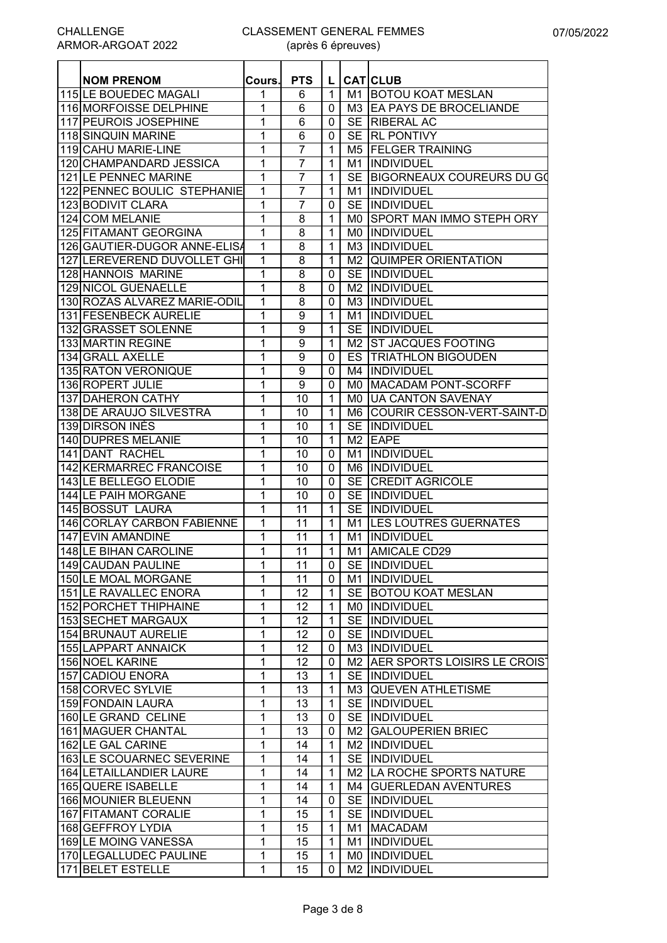| <b>115 LE BOUEDEC MAGALI</b><br><b>BOTOU KOAT MESLAN</b><br>1<br>6<br>$\mathbf{1}$<br>M1<br>116 MORFOISSE DELPHINE<br>6<br>M3 EA PAYS DE BROCELIANDE<br>1<br>$\mathbf{0}$<br><b>117 PEUROIS JOSEPHINE</b><br>1<br>6<br>SE RIBERAL AC<br>0<br>6<br>118 SINQUIN MARINE<br>1<br>SE RL PONTIVY<br>$\mathbf{0}$<br>1<br>7<br>119 CAHU MARIE-LINE<br>1<br>M5 FELGER TRAINING<br>$\mathbf{1}$<br>$\overline{7}$<br>INDIVIDUEL<br>120 CHAMPANDARD JESSICA<br>$\mathbf{1}$<br>M1<br>1<br>7<br>121 LE PENNEC MARINE<br>1<br><b>SE</b><br>BIGORNEAUX COUREURS DU GO<br>$\overline{7}$<br>122 PENNEC BOULIC STEPHANIE<br>1<br>INDIVIDUEL<br>$\mathbf{1}$<br>M1<br>7<br>1<br><b>SE</b><br>INDIVIDUEL<br>123 BODIVIT CLARA<br>0<br>1<br>124 COM MELANIE<br>8<br>SPORT MAN IMMO STEPH ORY<br>$\mathbf{1}$<br>M0.<br>8<br>1<br>125 FITAMANT GEORGINA<br>1<br><b>INDIVIDUEL</b><br>M0.<br>126 GAUTIER-DUGOR ANNE-ELISA<br>8<br>M3 INDIVIDUEL<br>1<br>$\mathbf{1}$<br>127 LEREVEREND DUVOLLET GHI<br>1<br>8<br>M2 QUIMPER ORIENTATION<br>$\mathbf{1}$<br>$\overline{8}$<br>128 HANNOIS MARINE<br>1<br>SE INDIVIDUEL<br>$\mathbf{0}$<br>8<br>129 NICOL GUENAELLE<br>1<br>M2  INDIVIDUEL<br>$\mathbf{0}$<br>130 ROZAS ALVAREZ MARIE-ODIL<br>1<br>8<br>M3 IINDIVIDUEL<br>$\mathbf{0}$<br>9<br>131 FESENBECK AURELIE<br>1<br>$\mathbf{1}$<br>INDIVIDUEL<br>M1<br>132 GRASSET SOLENNE<br>9<br>$\mathbf{1}$<br>SE INDIVIDUEL<br>1<br>9<br>1<br>$\mathbf{1}$<br><b>ST JACQUES FOOTING</b><br>M2<br>9<br>1<br>ES<br><b>TRIATHLON BIGOUDEN</b><br>$\mathbf{0}$<br>$\overline{9}$<br>1<br>INDIVIDUEL<br>0<br>M4<br>1<br>$\overline{9}$<br>M0 MACADAM PONT-SCORFF<br>$\mathbf 0$<br>MO UA CANTON SAVENAY<br>1<br>10<br>$\mathbf{1}$<br>1<br><b>COURIR CESSON-VERT-SAINT-D</b><br>10<br>$\mathbf{1}$<br>M6<br>1<br>10<br>SE INDIVIDUEL<br>$\mathbf{1}$<br><b>140 DUPRES MELANIE</b><br>1<br>10<br>M <sub>2</sub> EAPE<br>$\mathbf{1}$<br>141 DANT RACHEL<br>1<br>10<br><b>INDIVIDUEL</b><br>0<br>M1<br><b>INDIVIDUEL</b><br>142 KERMARREC FRANCOISE<br>1<br>10<br>0<br>M6<br><b>143 LE BELLEGO ELODIE</b><br><b>SE CREDIT AGRICOLE</b><br>1<br>10<br>$\mathbf{0}$<br>144 LE PAIH MORGANE<br>1<br>10<br>SE INDIVIDUEL<br>$\mathbf{0}$<br><b>145 BOSSUT LAURA</b><br>1<br>11<br>$\mathbf{1}$<br>SE INDIVIDUEL<br>1<br>146 CORLAY CARBON FABIENNE<br>11<br>$\mathbf{1}$<br>M1 LES LOUTRES GUERNATES<br>147 EVIN AMANDINE<br>1<br>11<br>$\mathbf{1}$<br>M1<br>INDIVIDUEL<br><b>148 LE BIHAN CAROLINE</b><br>M1 AMICALE CD29<br>1<br>11<br>$\mathbf{1}$<br>11<br>0   SE INDIVIDUEL<br>149 CAUDAN PAULINE<br>$\overline{1}$<br>1<br>150 LE MOAL MORGANE<br>11<br>M1  INDIVIDUEL<br>$\mathbf{0}$<br>151 LE RAVALLEC ENORA<br>1<br>12<br>SE BOTOU KOAT MESLAN<br>$\mathbf{1}$<br>152 PORCHET THIPHAINE<br>1<br>12<br>MO INDIVIDUEL<br>$\mathbf{1}$<br>1<br>153 SECHET MARGAUX<br>12<br>SE INDIVIDUEL<br>$\mathbf{1}$<br><b>154 BRUNAUT AURELIE</b><br>$\mathbf{1}$<br>12<br>SE INDIVIDUEL<br>0<br>155 LAPPART ANNAICK<br>1<br>12<br>M3 INDIVIDUEL<br>0<br>156 NOEL KARINE<br>$\mathbf 1$<br>12<br>M2 AER SPORTS LOISIRS LE CROIST<br>0<br>$\mathbf{1}$<br>157 CADIOU ENORA<br>13<br>SE INDIVIDUEL<br>$\mathbf 1$<br>13<br>158 CORVEC SYLVIE<br>1<br>M3 QUEVEN ATHLETISME<br>1<br>159 FONDAIN LAURA<br>1<br>13<br>SE INDIVIDUEL<br>1<br>160 LE GRAND CELINE<br>1<br>13<br>SE INDIVIDUEL<br>0<br>161 MAGUER CHANTAL<br>$\mathbf{1}$<br>13<br>M2 GALOUPERIEN BRIEC<br>0<br>$\mathbf{1}$<br>162 LE GAL CARINE<br>14<br>$\mathbf{1}$<br>M2  INDIVIDUEL<br>163 LE SCOUARNEC SEVERINE<br>1<br>SE INDIVIDUEL<br>14<br>$\mathbf{1}$<br>$\mathbf{1}$<br>M2 LA ROCHE SPORTS NATURE<br>14<br>$\mathbf{1}$<br>$\mathbf{1}$<br>M4 GUERLEDAN AVENTURES<br>14<br>$\mathbf{1}$<br>1<br>SE INDIVIDUEL<br>14<br>0<br>1<br>15<br>SE INDIVIDUEL<br>$\mathbf{1}$<br>1<br>15<br>M1 MACADAM<br>$\mathbf{1}$<br>$\overline{1}$<br>15<br>M1 INDIVIDUEL<br>$\mathbf{1}$<br>$\mathbf{1}$<br>15<br>MO  INDIVIDUEL<br>$\mathbf{1}$<br>M2  INDIVIDUEL<br>1<br>0 | <b>NOM PRENOM</b>       | Cours. | <b>PTS</b> | L. | <b>CATICLUB</b> |
|--------------------------------------------------------------------------------------------------------------------------------------------------------------------------------------------------------------------------------------------------------------------------------------------------------------------------------------------------------------------------------------------------------------------------------------------------------------------------------------------------------------------------------------------------------------------------------------------------------------------------------------------------------------------------------------------------------------------------------------------------------------------------------------------------------------------------------------------------------------------------------------------------------------------------------------------------------------------------------------------------------------------------------------------------------------------------------------------------------------------------------------------------------------------------------------------------------------------------------------------------------------------------------------------------------------------------------------------------------------------------------------------------------------------------------------------------------------------------------------------------------------------------------------------------------------------------------------------------------------------------------------------------------------------------------------------------------------------------------------------------------------------------------------------------------------------------------------------------------------------------------------------------------------------------------------------------------------------------------------------------------------------------------------------------------------------------------------------------------------------------------------------------------------------------------------------------------------------------------------------------------------------------------------------------------------------------------------------------------------------------------------------------------------------------------------------------------------------------------------------------------------------------------------------------------------------------------------------------------------------------------------------------------------------------------------------------------------------------------------------------------------------------------------------------------------------------------------------------------------------------------------------------------------------------------------------------------------------------------------------------------------------------------------------------------------------------------------------------------------------------------------------------------------------------------------------------------------------------------------------------------------------------------------------------------------------------------------------------------------------------------------------------------------------------------------------------------------------------------------------------------------------------------------------------------------------------------------------------------------------------------------------------------------------------------------------------------------------------------------------------------------------------------------------------------------------------------------------------------------------------------------------------------------------------------------------------------------------------------------------|-------------------------|--------|------------|----|-----------------|
|                                                                                                                                                                                                                                                                                                                                                                                                                                                                                                                                                                                                                                                                                                                                                                                                                                                                                                                                                                                                                                                                                                                                                                                                                                                                                                                                                                                                                                                                                                                                                                                                                                                                                                                                                                                                                                                                                                                                                                                                                                                                                                                                                                                                                                                                                                                                                                                                                                                                                                                                                                                                                                                                                                                                                                                                                                                                                                                                                                                                                                                                                                                                                                                                                                                                                                                                                                                                                                                                                                                                                                                                                                                                                                                                                                                                                                                                                                                                                                                            |                         |        |            |    |                 |
|                                                                                                                                                                                                                                                                                                                                                                                                                                                                                                                                                                                                                                                                                                                                                                                                                                                                                                                                                                                                                                                                                                                                                                                                                                                                                                                                                                                                                                                                                                                                                                                                                                                                                                                                                                                                                                                                                                                                                                                                                                                                                                                                                                                                                                                                                                                                                                                                                                                                                                                                                                                                                                                                                                                                                                                                                                                                                                                                                                                                                                                                                                                                                                                                                                                                                                                                                                                                                                                                                                                                                                                                                                                                                                                                                                                                                                                                                                                                                                                            |                         |        |            |    |                 |
|                                                                                                                                                                                                                                                                                                                                                                                                                                                                                                                                                                                                                                                                                                                                                                                                                                                                                                                                                                                                                                                                                                                                                                                                                                                                                                                                                                                                                                                                                                                                                                                                                                                                                                                                                                                                                                                                                                                                                                                                                                                                                                                                                                                                                                                                                                                                                                                                                                                                                                                                                                                                                                                                                                                                                                                                                                                                                                                                                                                                                                                                                                                                                                                                                                                                                                                                                                                                                                                                                                                                                                                                                                                                                                                                                                                                                                                                                                                                                                                            |                         |        |            |    |                 |
|                                                                                                                                                                                                                                                                                                                                                                                                                                                                                                                                                                                                                                                                                                                                                                                                                                                                                                                                                                                                                                                                                                                                                                                                                                                                                                                                                                                                                                                                                                                                                                                                                                                                                                                                                                                                                                                                                                                                                                                                                                                                                                                                                                                                                                                                                                                                                                                                                                                                                                                                                                                                                                                                                                                                                                                                                                                                                                                                                                                                                                                                                                                                                                                                                                                                                                                                                                                                                                                                                                                                                                                                                                                                                                                                                                                                                                                                                                                                                                                            |                         |        |            |    |                 |
|                                                                                                                                                                                                                                                                                                                                                                                                                                                                                                                                                                                                                                                                                                                                                                                                                                                                                                                                                                                                                                                                                                                                                                                                                                                                                                                                                                                                                                                                                                                                                                                                                                                                                                                                                                                                                                                                                                                                                                                                                                                                                                                                                                                                                                                                                                                                                                                                                                                                                                                                                                                                                                                                                                                                                                                                                                                                                                                                                                                                                                                                                                                                                                                                                                                                                                                                                                                                                                                                                                                                                                                                                                                                                                                                                                                                                                                                                                                                                                                            |                         |        |            |    |                 |
|                                                                                                                                                                                                                                                                                                                                                                                                                                                                                                                                                                                                                                                                                                                                                                                                                                                                                                                                                                                                                                                                                                                                                                                                                                                                                                                                                                                                                                                                                                                                                                                                                                                                                                                                                                                                                                                                                                                                                                                                                                                                                                                                                                                                                                                                                                                                                                                                                                                                                                                                                                                                                                                                                                                                                                                                                                                                                                                                                                                                                                                                                                                                                                                                                                                                                                                                                                                                                                                                                                                                                                                                                                                                                                                                                                                                                                                                                                                                                                                            |                         |        |            |    |                 |
|                                                                                                                                                                                                                                                                                                                                                                                                                                                                                                                                                                                                                                                                                                                                                                                                                                                                                                                                                                                                                                                                                                                                                                                                                                                                                                                                                                                                                                                                                                                                                                                                                                                                                                                                                                                                                                                                                                                                                                                                                                                                                                                                                                                                                                                                                                                                                                                                                                                                                                                                                                                                                                                                                                                                                                                                                                                                                                                                                                                                                                                                                                                                                                                                                                                                                                                                                                                                                                                                                                                                                                                                                                                                                                                                                                                                                                                                                                                                                                                            |                         |        |            |    |                 |
|                                                                                                                                                                                                                                                                                                                                                                                                                                                                                                                                                                                                                                                                                                                                                                                                                                                                                                                                                                                                                                                                                                                                                                                                                                                                                                                                                                                                                                                                                                                                                                                                                                                                                                                                                                                                                                                                                                                                                                                                                                                                                                                                                                                                                                                                                                                                                                                                                                                                                                                                                                                                                                                                                                                                                                                                                                                                                                                                                                                                                                                                                                                                                                                                                                                                                                                                                                                                                                                                                                                                                                                                                                                                                                                                                                                                                                                                                                                                                                                            |                         |        |            |    |                 |
|                                                                                                                                                                                                                                                                                                                                                                                                                                                                                                                                                                                                                                                                                                                                                                                                                                                                                                                                                                                                                                                                                                                                                                                                                                                                                                                                                                                                                                                                                                                                                                                                                                                                                                                                                                                                                                                                                                                                                                                                                                                                                                                                                                                                                                                                                                                                                                                                                                                                                                                                                                                                                                                                                                                                                                                                                                                                                                                                                                                                                                                                                                                                                                                                                                                                                                                                                                                                                                                                                                                                                                                                                                                                                                                                                                                                                                                                                                                                                                                            |                         |        |            |    |                 |
|                                                                                                                                                                                                                                                                                                                                                                                                                                                                                                                                                                                                                                                                                                                                                                                                                                                                                                                                                                                                                                                                                                                                                                                                                                                                                                                                                                                                                                                                                                                                                                                                                                                                                                                                                                                                                                                                                                                                                                                                                                                                                                                                                                                                                                                                                                                                                                                                                                                                                                                                                                                                                                                                                                                                                                                                                                                                                                                                                                                                                                                                                                                                                                                                                                                                                                                                                                                                                                                                                                                                                                                                                                                                                                                                                                                                                                                                                                                                                                                            |                         |        |            |    |                 |
|                                                                                                                                                                                                                                                                                                                                                                                                                                                                                                                                                                                                                                                                                                                                                                                                                                                                                                                                                                                                                                                                                                                                                                                                                                                                                                                                                                                                                                                                                                                                                                                                                                                                                                                                                                                                                                                                                                                                                                                                                                                                                                                                                                                                                                                                                                                                                                                                                                                                                                                                                                                                                                                                                                                                                                                                                                                                                                                                                                                                                                                                                                                                                                                                                                                                                                                                                                                                                                                                                                                                                                                                                                                                                                                                                                                                                                                                                                                                                                                            |                         |        |            |    |                 |
|                                                                                                                                                                                                                                                                                                                                                                                                                                                                                                                                                                                                                                                                                                                                                                                                                                                                                                                                                                                                                                                                                                                                                                                                                                                                                                                                                                                                                                                                                                                                                                                                                                                                                                                                                                                                                                                                                                                                                                                                                                                                                                                                                                                                                                                                                                                                                                                                                                                                                                                                                                                                                                                                                                                                                                                                                                                                                                                                                                                                                                                                                                                                                                                                                                                                                                                                                                                                                                                                                                                                                                                                                                                                                                                                                                                                                                                                                                                                                                                            |                         |        |            |    |                 |
|                                                                                                                                                                                                                                                                                                                                                                                                                                                                                                                                                                                                                                                                                                                                                                                                                                                                                                                                                                                                                                                                                                                                                                                                                                                                                                                                                                                                                                                                                                                                                                                                                                                                                                                                                                                                                                                                                                                                                                                                                                                                                                                                                                                                                                                                                                                                                                                                                                                                                                                                                                                                                                                                                                                                                                                                                                                                                                                                                                                                                                                                                                                                                                                                                                                                                                                                                                                                                                                                                                                                                                                                                                                                                                                                                                                                                                                                                                                                                                                            |                         |        |            |    |                 |
|                                                                                                                                                                                                                                                                                                                                                                                                                                                                                                                                                                                                                                                                                                                                                                                                                                                                                                                                                                                                                                                                                                                                                                                                                                                                                                                                                                                                                                                                                                                                                                                                                                                                                                                                                                                                                                                                                                                                                                                                                                                                                                                                                                                                                                                                                                                                                                                                                                                                                                                                                                                                                                                                                                                                                                                                                                                                                                                                                                                                                                                                                                                                                                                                                                                                                                                                                                                                                                                                                                                                                                                                                                                                                                                                                                                                                                                                                                                                                                                            |                         |        |            |    |                 |
|                                                                                                                                                                                                                                                                                                                                                                                                                                                                                                                                                                                                                                                                                                                                                                                                                                                                                                                                                                                                                                                                                                                                                                                                                                                                                                                                                                                                                                                                                                                                                                                                                                                                                                                                                                                                                                                                                                                                                                                                                                                                                                                                                                                                                                                                                                                                                                                                                                                                                                                                                                                                                                                                                                                                                                                                                                                                                                                                                                                                                                                                                                                                                                                                                                                                                                                                                                                                                                                                                                                                                                                                                                                                                                                                                                                                                                                                                                                                                                                            |                         |        |            |    |                 |
|                                                                                                                                                                                                                                                                                                                                                                                                                                                                                                                                                                                                                                                                                                                                                                                                                                                                                                                                                                                                                                                                                                                                                                                                                                                                                                                                                                                                                                                                                                                                                                                                                                                                                                                                                                                                                                                                                                                                                                                                                                                                                                                                                                                                                                                                                                                                                                                                                                                                                                                                                                                                                                                                                                                                                                                                                                                                                                                                                                                                                                                                                                                                                                                                                                                                                                                                                                                                                                                                                                                                                                                                                                                                                                                                                                                                                                                                                                                                                                                            |                         |        |            |    |                 |
|                                                                                                                                                                                                                                                                                                                                                                                                                                                                                                                                                                                                                                                                                                                                                                                                                                                                                                                                                                                                                                                                                                                                                                                                                                                                                                                                                                                                                                                                                                                                                                                                                                                                                                                                                                                                                                                                                                                                                                                                                                                                                                                                                                                                                                                                                                                                                                                                                                                                                                                                                                                                                                                                                                                                                                                                                                                                                                                                                                                                                                                                                                                                                                                                                                                                                                                                                                                                                                                                                                                                                                                                                                                                                                                                                                                                                                                                                                                                                                                            |                         |        |            |    |                 |
|                                                                                                                                                                                                                                                                                                                                                                                                                                                                                                                                                                                                                                                                                                                                                                                                                                                                                                                                                                                                                                                                                                                                                                                                                                                                                                                                                                                                                                                                                                                                                                                                                                                                                                                                                                                                                                                                                                                                                                                                                                                                                                                                                                                                                                                                                                                                                                                                                                                                                                                                                                                                                                                                                                                                                                                                                                                                                                                                                                                                                                                                                                                                                                                                                                                                                                                                                                                                                                                                                                                                                                                                                                                                                                                                                                                                                                                                                                                                                                                            |                         |        |            |    |                 |
|                                                                                                                                                                                                                                                                                                                                                                                                                                                                                                                                                                                                                                                                                                                                                                                                                                                                                                                                                                                                                                                                                                                                                                                                                                                                                                                                                                                                                                                                                                                                                                                                                                                                                                                                                                                                                                                                                                                                                                                                                                                                                                                                                                                                                                                                                                                                                                                                                                                                                                                                                                                                                                                                                                                                                                                                                                                                                                                                                                                                                                                                                                                                                                                                                                                                                                                                                                                                                                                                                                                                                                                                                                                                                                                                                                                                                                                                                                                                                                                            |                         |        |            |    |                 |
|                                                                                                                                                                                                                                                                                                                                                                                                                                                                                                                                                                                                                                                                                                                                                                                                                                                                                                                                                                                                                                                                                                                                                                                                                                                                                                                                                                                                                                                                                                                                                                                                                                                                                                                                                                                                                                                                                                                                                                                                                                                                                                                                                                                                                                                                                                                                                                                                                                                                                                                                                                                                                                                                                                                                                                                                                                                                                                                                                                                                                                                                                                                                                                                                                                                                                                                                                                                                                                                                                                                                                                                                                                                                                                                                                                                                                                                                                                                                                                                            | 133 MARTIN REGINE       |        |            |    |                 |
|                                                                                                                                                                                                                                                                                                                                                                                                                                                                                                                                                                                                                                                                                                                                                                                                                                                                                                                                                                                                                                                                                                                                                                                                                                                                                                                                                                                                                                                                                                                                                                                                                                                                                                                                                                                                                                                                                                                                                                                                                                                                                                                                                                                                                                                                                                                                                                                                                                                                                                                                                                                                                                                                                                                                                                                                                                                                                                                                                                                                                                                                                                                                                                                                                                                                                                                                                                                                                                                                                                                                                                                                                                                                                                                                                                                                                                                                                                                                                                                            | <b>134 GRALL AXELLE</b> |        |            |    |                 |
|                                                                                                                                                                                                                                                                                                                                                                                                                                                                                                                                                                                                                                                                                                                                                                                                                                                                                                                                                                                                                                                                                                                                                                                                                                                                                                                                                                                                                                                                                                                                                                                                                                                                                                                                                                                                                                                                                                                                                                                                                                                                                                                                                                                                                                                                                                                                                                                                                                                                                                                                                                                                                                                                                                                                                                                                                                                                                                                                                                                                                                                                                                                                                                                                                                                                                                                                                                                                                                                                                                                                                                                                                                                                                                                                                                                                                                                                                                                                                                                            | 135 RATON VERONIQUE     |        |            |    |                 |
|                                                                                                                                                                                                                                                                                                                                                                                                                                                                                                                                                                                                                                                                                                                                                                                                                                                                                                                                                                                                                                                                                                                                                                                                                                                                                                                                                                                                                                                                                                                                                                                                                                                                                                                                                                                                                                                                                                                                                                                                                                                                                                                                                                                                                                                                                                                                                                                                                                                                                                                                                                                                                                                                                                                                                                                                                                                                                                                                                                                                                                                                                                                                                                                                                                                                                                                                                                                                                                                                                                                                                                                                                                                                                                                                                                                                                                                                                                                                                                                            | <b>136 ROPERT JULIE</b> |        |            |    |                 |
|                                                                                                                                                                                                                                                                                                                                                                                                                                                                                                                                                                                                                                                                                                                                                                                                                                                                                                                                                                                                                                                                                                                                                                                                                                                                                                                                                                                                                                                                                                                                                                                                                                                                                                                                                                                                                                                                                                                                                                                                                                                                                                                                                                                                                                                                                                                                                                                                                                                                                                                                                                                                                                                                                                                                                                                                                                                                                                                                                                                                                                                                                                                                                                                                                                                                                                                                                                                                                                                                                                                                                                                                                                                                                                                                                                                                                                                                                                                                                                                            | 137 DAHERON CATHY       |        |            |    |                 |
|                                                                                                                                                                                                                                                                                                                                                                                                                                                                                                                                                                                                                                                                                                                                                                                                                                                                                                                                                                                                                                                                                                                                                                                                                                                                                                                                                                                                                                                                                                                                                                                                                                                                                                                                                                                                                                                                                                                                                                                                                                                                                                                                                                                                                                                                                                                                                                                                                                                                                                                                                                                                                                                                                                                                                                                                                                                                                                                                                                                                                                                                                                                                                                                                                                                                                                                                                                                                                                                                                                                                                                                                                                                                                                                                                                                                                                                                                                                                                                                            | 138 DE ARAUJO SILVESTRA |        |            |    |                 |
|                                                                                                                                                                                                                                                                                                                                                                                                                                                                                                                                                                                                                                                                                                                                                                                                                                                                                                                                                                                                                                                                                                                                                                                                                                                                                                                                                                                                                                                                                                                                                                                                                                                                                                                                                                                                                                                                                                                                                                                                                                                                                                                                                                                                                                                                                                                                                                                                                                                                                                                                                                                                                                                                                                                                                                                                                                                                                                                                                                                                                                                                                                                                                                                                                                                                                                                                                                                                                                                                                                                                                                                                                                                                                                                                                                                                                                                                                                                                                                                            | 139 DIRSON INÈS         |        |            |    |                 |
|                                                                                                                                                                                                                                                                                                                                                                                                                                                                                                                                                                                                                                                                                                                                                                                                                                                                                                                                                                                                                                                                                                                                                                                                                                                                                                                                                                                                                                                                                                                                                                                                                                                                                                                                                                                                                                                                                                                                                                                                                                                                                                                                                                                                                                                                                                                                                                                                                                                                                                                                                                                                                                                                                                                                                                                                                                                                                                                                                                                                                                                                                                                                                                                                                                                                                                                                                                                                                                                                                                                                                                                                                                                                                                                                                                                                                                                                                                                                                                                            |                         |        |            |    |                 |
|                                                                                                                                                                                                                                                                                                                                                                                                                                                                                                                                                                                                                                                                                                                                                                                                                                                                                                                                                                                                                                                                                                                                                                                                                                                                                                                                                                                                                                                                                                                                                                                                                                                                                                                                                                                                                                                                                                                                                                                                                                                                                                                                                                                                                                                                                                                                                                                                                                                                                                                                                                                                                                                                                                                                                                                                                                                                                                                                                                                                                                                                                                                                                                                                                                                                                                                                                                                                                                                                                                                                                                                                                                                                                                                                                                                                                                                                                                                                                                                            |                         |        |            |    |                 |
|                                                                                                                                                                                                                                                                                                                                                                                                                                                                                                                                                                                                                                                                                                                                                                                                                                                                                                                                                                                                                                                                                                                                                                                                                                                                                                                                                                                                                                                                                                                                                                                                                                                                                                                                                                                                                                                                                                                                                                                                                                                                                                                                                                                                                                                                                                                                                                                                                                                                                                                                                                                                                                                                                                                                                                                                                                                                                                                                                                                                                                                                                                                                                                                                                                                                                                                                                                                                                                                                                                                                                                                                                                                                                                                                                                                                                                                                                                                                                                                            |                         |        |            |    |                 |
|                                                                                                                                                                                                                                                                                                                                                                                                                                                                                                                                                                                                                                                                                                                                                                                                                                                                                                                                                                                                                                                                                                                                                                                                                                                                                                                                                                                                                                                                                                                                                                                                                                                                                                                                                                                                                                                                                                                                                                                                                                                                                                                                                                                                                                                                                                                                                                                                                                                                                                                                                                                                                                                                                                                                                                                                                                                                                                                                                                                                                                                                                                                                                                                                                                                                                                                                                                                                                                                                                                                                                                                                                                                                                                                                                                                                                                                                                                                                                                                            |                         |        |            |    |                 |
|                                                                                                                                                                                                                                                                                                                                                                                                                                                                                                                                                                                                                                                                                                                                                                                                                                                                                                                                                                                                                                                                                                                                                                                                                                                                                                                                                                                                                                                                                                                                                                                                                                                                                                                                                                                                                                                                                                                                                                                                                                                                                                                                                                                                                                                                                                                                                                                                                                                                                                                                                                                                                                                                                                                                                                                                                                                                                                                                                                                                                                                                                                                                                                                                                                                                                                                                                                                                                                                                                                                                                                                                                                                                                                                                                                                                                                                                                                                                                                                            |                         |        |            |    |                 |
|                                                                                                                                                                                                                                                                                                                                                                                                                                                                                                                                                                                                                                                                                                                                                                                                                                                                                                                                                                                                                                                                                                                                                                                                                                                                                                                                                                                                                                                                                                                                                                                                                                                                                                                                                                                                                                                                                                                                                                                                                                                                                                                                                                                                                                                                                                                                                                                                                                                                                                                                                                                                                                                                                                                                                                                                                                                                                                                                                                                                                                                                                                                                                                                                                                                                                                                                                                                                                                                                                                                                                                                                                                                                                                                                                                                                                                                                                                                                                                                            |                         |        |            |    |                 |
|                                                                                                                                                                                                                                                                                                                                                                                                                                                                                                                                                                                                                                                                                                                                                                                                                                                                                                                                                                                                                                                                                                                                                                                                                                                                                                                                                                                                                                                                                                                                                                                                                                                                                                                                                                                                                                                                                                                                                                                                                                                                                                                                                                                                                                                                                                                                                                                                                                                                                                                                                                                                                                                                                                                                                                                                                                                                                                                                                                                                                                                                                                                                                                                                                                                                                                                                                                                                                                                                                                                                                                                                                                                                                                                                                                                                                                                                                                                                                                                            |                         |        |            |    |                 |
|                                                                                                                                                                                                                                                                                                                                                                                                                                                                                                                                                                                                                                                                                                                                                                                                                                                                                                                                                                                                                                                                                                                                                                                                                                                                                                                                                                                                                                                                                                                                                                                                                                                                                                                                                                                                                                                                                                                                                                                                                                                                                                                                                                                                                                                                                                                                                                                                                                                                                                                                                                                                                                                                                                                                                                                                                                                                                                                                                                                                                                                                                                                                                                                                                                                                                                                                                                                                                                                                                                                                                                                                                                                                                                                                                                                                                                                                                                                                                                                            |                         |        |            |    |                 |
|                                                                                                                                                                                                                                                                                                                                                                                                                                                                                                                                                                                                                                                                                                                                                                                                                                                                                                                                                                                                                                                                                                                                                                                                                                                                                                                                                                                                                                                                                                                                                                                                                                                                                                                                                                                                                                                                                                                                                                                                                                                                                                                                                                                                                                                                                                                                                                                                                                                                                                                                                                                                                                                                                                                                                                                                                                                                                                                                                                                                                                                                                                                                                                                                                                                                                                                                                                                                                                                                                                                                                                                                                                                                                                                                                                                                                                                                                                                                                                                            |                         |        |            |    |                 |
|                                                                                                                                                                                                                                                                                                                                                                                                                                                                                                                                                                                                                                                                                                                                                                                                                                                                                                                                                                                                                                                                                                                                                                                                                                                                                                                                                                                                                                                                                                                                                                                                                                                                                                                                                                                                                                                                                                                                                                                                                                                                                                                                                                                                                                                                                                                                                                                                                                                                                                                                                                                                                                                                                                                                                                                                                                                                                                                                                                                                                                                                                                                                                                                                                                                                                                                                                                                                                                                                                                                                                                                                                                                                                                                                                                                                                                                                                                                                                                                            |                         |        |            |    |                 |
|                                                                                                                                                                                                                                                                                                                                                                                                                                                                                                                                                                                                                                                                                                                                                                                                                                                                                                                                                                                                                                                                                                                                                                                                                                                                                                                                                                                                                                                                                                                                                                                                                                                                                                                                                                                                                                                                                                                                                                                                                                                                                                                                                                                                                                                                                                                                                                                                                                                                                                                                                                                                                                                                                                                                                                                                                                                                                                                                                                                                                                                                                                                                                                                                                                                                                                                                                                                                                                                                                                                                                                                                                                                                                                                                                                                                                                                                                                                                                                                            |                         |        |            |    |                 |
|                                                                                                                                                                                                                                                                                                                                                                                                                                                                                                                                                                                                                                                                                                                                                                                                                                                                                                                                                                                                                                                                                                                                                                                                                                                                                                                                                                                                                                                                                                                                                                                                                                                                                                                                                                                                                                                                                                                                                                                                                                                                                                                                                                                                                                                                                                                                                                                                                                                                                                                                                                                                                                                                                                                                                                                                                                                                                                                                                                                                                                                                                                                                                                                                                                                                                                                                                                                                                                                                                                                                                                                                                                                                                                                                                                                                                                                                                                                                                                                            |                         |        |            |    |                 |
|                                                                                                                                                                                                                                                                                                                                                                                                                                                                                                                                                                                                                                                                                                                                                                                                                                                                                                                                                                                                                                                                                                                                                                                                                                                                                                                                                                                                                                                                                                                                                                                                                                                                                                                                                                                                                                                                                                                                                                                                                                                                                                                                                                                                                                                                                                                                                                                                                                                                                                                                                                                                                                                                                                                                                                                                                                                                                                                                                                                                                                                                                                                                                                                                                                                                                                                                                                                                                                                                                                                                                                                                                                                                                                                                                                                                                                                                                                                                                                                            |                         |        |            |    |                 |
|                                                                                                                                                                                                                                                                                                                                                                                                                                                                                                                                                                                                                                                                                                                                                                                                                                                                                                                                                                                                                                                                                                                                                                                                                                                                                                                                                                                                                                                                                                                                                                                                                                                                                                                                                                                                                                                                                                                                                                                                                                                                                                                                                                                                                                                                                                                                                                                                                                                                                                                                                                                                                                                                                                                                                                                                                                                                                                                                                                                                                                                                                                                                                                                                                                                                                                                                                                                                                                                                                                                                                                                                                                                                                                                                                                                                                                                                                                                                                                                            |                         |        |            |    |                 |
|                                                                                                                                                                                                                                                                                                                                                                                                                                                                                                                                                                                                                                                                                                                                                                                                                                                                                                                                                                                                                                                                                                                                                                                                                                                                                                                                                                                                                                                                                                                                                                                                                                                                                                                                                                                                                                                                                                                                                                                                                                                                                                                                                                                                                                                                                                                                                                                                                                                                                                                                                                                                                                                                                                                                                                                                                                                                                                                                                                                                                                                                                                                                                                                                                                                                                                                                                                                                                                                                                                                                                                                                                                                                                                                                                                                                                                                                                                                                                                                            |                         |        |            |    |                 |
|                                                                                                                                                                                                                                                                                                                                                                                                                                                                                                                                                                                                                                                                                                                                                                                                                                                                                                                                                                                                                                                                                                                                                                                                                                                                                                                                                                                                                                                                                                                                                                                                                                                                                                                                                                                                                                                                                                                                                                                                                                                                                                                                                                                                                                                                                                                                                                                                                                                                                                                                                                                                                                                                                                                                                                                                                                                                                                                                                                                                                                                                                                                                                                                                                                                                                                                                                                                                                                                                                                                                                                                                                                                                                                                                                                                                                                                                                                                                                                                            |                         |        |            |    |                 |
|                                                                                                                                                                                                                                                                                                                                                                                                                                                                                                                                                                                                                                                                                                                                                                                                                                                                                                                                                                                                                                                                                                                                                                                                                                                                                                                                                                                                                                                                                                                                                                                                                                                                                                                                                                                                                                                                                                                                                                                                                                                                                                                                                                                                                                                                                                                                                                                                                                                                                                                                                                                                                                                                                                                                                                                                                                                                                                                                                                                                                                                                                                                                                                                                                                                                                                                                                                                                                                                                                                                                                                                                                                                                                                                                                                                                                                                                                                                                                                                            |                         |        |            |    |                 |
|                                                                                                                                                                                                                                                                                                                                                                                                                                                                                                                                                                                                                                                                                                                                                                                                                                                                                                                                                                                                                                                                                                                                                                                                                                                                                                                                                                                                                                                                                                                                                                                                                                                                                                                                                                                                                                                                                                                                                                                                                                                                                                                                                                                                                                                                                                                                                                                                                                                                                                                                                                                                                                                                                                                                                                                                                                                                                                                                                                                                                                                                                                                                                                                                                                                                                                                                                                                                                                                                                                                                                                                                                                                                                                                                                                                                                                                                                                                                                                                            |                         |        |            |    |                 |
|                                                                                                                                                                                                                                                                                                                                                                                                                                                                                                                                                                                                                                                                                                                                                                                                                                                                                                                                                                                                                                                                                                                                                                                                                                                                                                                                                                                                                                                                                                                                                                                                                                                                                                                                                                                                                                                                                                                                                                                                                                                                                                                                                                                                                                                                                                                                                                                                                                                                                                                                                                                                                                                                                                                                                                                                                                                                                                                                                                                                                                                                                                                                                                                                                                                                                                                                                                                                                                                                                                                                                                                                                                                                                                                                                                                                                                                                                                                                                                                            |                         |        |            |    |                 |
|                                                                                                                                                                                                                                                                                                                                                                                                                                                                                                                                                                                                                                                                                                                                                                                                                                                                                                                                                                                                                                                                                                                                                                                                                                                                                                                                                                                                                                                                                                                                                                                                                                                                                                                                                                                                                                                                                                                                                                                                                                                                                                                                                                                                                                                                                                                                                                                                                                                                                                                                                                                                                                                                                                                                                                                                                                                                                                                                                                                                                                                                                                                                                                                                                                                                                                                                                                                                                                                                                                                                                                                                                                                                                                                                                                                                                                                                                                                                                                                            |                         |        |            |    |                 |
|                                                                                                                                                                                                                                                                                                                                                                                                                                                                                                                                                                                                                                                                                                                                                                                                                                                                                                                                                                                                                                                                                                                                                                                                                                                                                                                                                                                                                                                                                                                                                                                                                                                                                                                                                                                                                                                                                                                                                                                                                                                                                                                                                                                                                                                                                                                                                                                                                                                                                                                                                                                                                                                                                                                                                                                                                                                                                                                                                                                                                                                                                                                                                                                                                                                                                                                                                                                                                                                                                                                                                                                                                                                                                                                                                                                                                                                                                                                                                                                            |                         |        |            |    |                 |
|                                                                                                                                                                                                                                                                                                                                                                                                                                                                                                                                                                                                                                                                                                                                                                                                                                                                                                                                                                                                                                                                                                                                                                                                                                                                                                                                                                                                                                                                                                                                                                                                                                                                                                                                                                                                                                                                                                                                                                                                                                                                                                                                                                                                                                                                                                                                                                                                                                                                                                                                                                                                                                                                                                                                                                                                                                                                                                                                                                                                                                                                                                                                                                                                                                                                                                                                                                                                                                                                                                                                                                                                                                                                                                                                                                                                                                                                                                                                                                                            |                         |        |            |    |                 |
|                                                                                                                                                                                                                                                                                                                                                                                                                                                                                                                                                                                                                                                                                                                                                                                                                                                                                                                                                                                                                                                                                                                                                                                                                                                                                                                                                                                                                                                                                                                                                                                                                                                                                                                                                                                                                                                                                                                                                                                                                                                                                                                                                                                                                                                                                                                                                                                                                                                                                                                                                                                                                                                                                                                                                                                                                                                                                                                                                                                                                                                                                                                                                                                                                                                                                                                                                                                                                                                                                                                                                                                                                                                                                                                                                                                                                                                                                                                                                                                            |                         |        |            |    |                 |
|                                                                                                                                                                                                                                                                                                                                                                                                                                                                                                                                                                                                                                                                                                                                                                                                                                                                                                                                                                                                                                                                                                                                                                                                                                                                                                                                                                                                                                                                                                                                                                                                                                                                                                                                                                                                                                                                                                                                                                                                                                                                                                                                                                                                                                                                                                                                                                                                                                                                                                                                                                                                                                                                                                                                                                                                                                                                                                                                                                                                                                                                                                                                                                                                                                                                                                                                                                                                                                                                                                                                                                                                                                                                                                                                                                                                                                                                                                                                                                                            |                         |        |            |    |                 |
|                                                                                                                                                                                                                                                                                                                                                                                                                                                                                                                                                                                                                                                                                                                                                                                                                                                                                                                                                                                                                                                                                                                                                                                                                                                                                                                                                                                                                                                                                                                                                                                                                                                                                                                                                                                                                                                                                                                                                                                                                                                                                                                                                                                                                                                                                                                                                                                                                                                                                                                                                                                                                                                                                                                                                                                                                                                                                                                                                                                                                                                                                                                                                                                                                                                                                                                                                                                                                                                                                                                                                                                                                                                                                                                                                                                                                                                                                                                                                                                            |                         |        |            |    |                 |
|                                                                                                                                                                                                                                                                                                                                                                                                                                                                                                                                                                                                                                                                                                                                                                                                                                                                                                                                                                                                                                                                                                                                                                                                                                                                                                                                                                                                                                                                                                                                                                                                                                                                                                                                                                                                                                                                                                                                                                                                                                                                                                                                                                                                                                                                                                                                                                                                                                                                                                                                                                                                                                                                                                                                                                                                                                                                                                                                                                                                                                                                                                                                                                                                                                                                                                                                                                                                                                                                                                                                                                                                                                                                                                                                                                                                                                                                                                                                                                                            | 164 LETAILLANDIER LAURE |        |            |    |                 |
|                                                                                                                                                                                                                                                                                                                                                                                                                                                                                                                                                                                                                                                                                                                                                                                                                                                                                                                                                                                                                                                                                                                                                                                                                                                                                                                                                                                                                                                                                                                                                                                                                                                                                                                                                                                                                                                                                                                                                                                                                                                                                                                                                                                                                                                                                                                                                                                                                                                                                                                                                                                                                                                                                                                                                                                                                                                                                                                                                                                                                                                                                                                                                                                                                                                                                                                                                                                                                                                                                                                                                                                                                                                                                                                                                                                                                                                                                                                                                                                            | 165 QUERE ISABELLE      |        |            |    |                 |
|                                                                                                                                                                                                                                                                                                                                                                                                                                                                                                                                                                                                                                                                                                                                                                                                                                                                                                                                                                                                                                                                                                                                                                                                                                                                                                                                                                                                                                                                                                                                                                                                                                                                                                                                                                                                                                                                                                                                                                                                                                                                                                                                                                                                                                                                                                                                                                                                                                                                                                                                                                                                                                                                                                                                                                                                                                                                                                                                                                                                                                                                                                                                                                                                                                                                                                                                                                                                                                                                                                                                                                                                                                                                                                                                                                                                                                                                                                                                                                                            | 166 MOUNIER BLEUENN     |        |            |    |                 |
|                                                                                                                                                                                                                                                                                                                                                                                                                                                                                                                                                                                                                                                                                                                                                                                                                                                                                                                                                                                                                                                                                                                                                                                                                                                                                                                                                                                                                                                                                                                                                                                                                                                                                                                                                                                                                                                                                                                                                                                                                                                                                                                                                                                                                                                                                                                                                                                                                                                                                                                                                                                                                                                                                                                                                                                                                                                                                                                                                                                                                                                                                                                                                                                                                                                                                                                                                                                                                                                                                                                                                                                                                                                                                                                                                                                                                                                                                                                                                                                            | 167 FITAMANT CORALIE    |        |            |    |                 |
|                                                                                                                                                                                                                                                                                                                                                                                                                                                                                                                                                                                                                                                                                                                                                                                                                                                                                                                                                                                                                                                                                                                                                                                                                                                                                                                                                                                                                                                                                                                                                                                                                                                                                                                                                                                                                                                                                                                                                                                                                                                                                                                                                                                                                                                                                                                                                                                                                                                                                                                                                                                                                                                                                                                                                                                                                                                                                                                                                                                                                                                                                                                                                                                                                                                                                                                                                                                                                                                                                                                                                                                                                                                                                                                                                                                                                                                                                                                                                                                            | 168 GEFFROY LYDIA       |        |            |    |                 |
|                                                                                                                                                                                                                                                                                                                                                                                                                                                                                                                                                                                                                                                                                                                                                                                                                                                                                                                                                                                                                                                                                                                                                                                                                                                                                                                                                                                                                                                                                                                                                                                                                                                                                                                                                                                                                                                                                                                                                                                                                                                                                                                                                                                                                                                                                                                                                                                                                                                                                                                                                                                                                                                                                                                                                                                                                                                                                                                                                                                                                                                                                                                                                                                                                                                                                                                                                                                                                                                                                                                                                                                                                                                                                                                                                                                                                                                                                                                                                                                            | 169 LE MOING VANESSA    |        |            |    |                 |
|                                                                                                                                                                                                                                                                                                                                                                                                                                                                                                                                                                                                                                                                                                                                                                                                                                                                                                                                                                                                                                                                                                                                                                                                                                                                                                                                                                                                                                                                                                                                                                                                                                                                                                                                                                                                                                                                                                                                                                                                                                                                                                                                                                                                                                                                                                                                                                                                                                                                                                                                                                                                                                                                                                                                                                                                                                                                                                                                                                                                                                                                                                                                                                                                                                                                                                                                                                                                                                                                                                                                                                                                                                                                                                                                                                                                                                                                                                                                                                                            | 170 LEGALLUDEC PAULINE  |        |            |    |                 |
|                                                                                                                                                                                                                                                                                                                                                                                                                                                                                                                                                                                                                                                                                                                                                                                                                                                                                                                                                                                                                                                                                                                                                                                                                                                                                                                                                                                                                                                                                                                                                                                                                                                                                                                                                                                                                                                                                                                                                                                                                                                                                                                                                                                                                                                                                                                                                                                                                                                                                                                                                                                                                                                                                                                                                                                                                                                                                                                                                                                                                                                                                                                                                                                                                                                                                                                                                                                                                                                                                                                                                                                                                                                                                                                                                                                                                                                                                                                                                                                            | 171 BELET ESTELLE       |        | 15         |    |                 |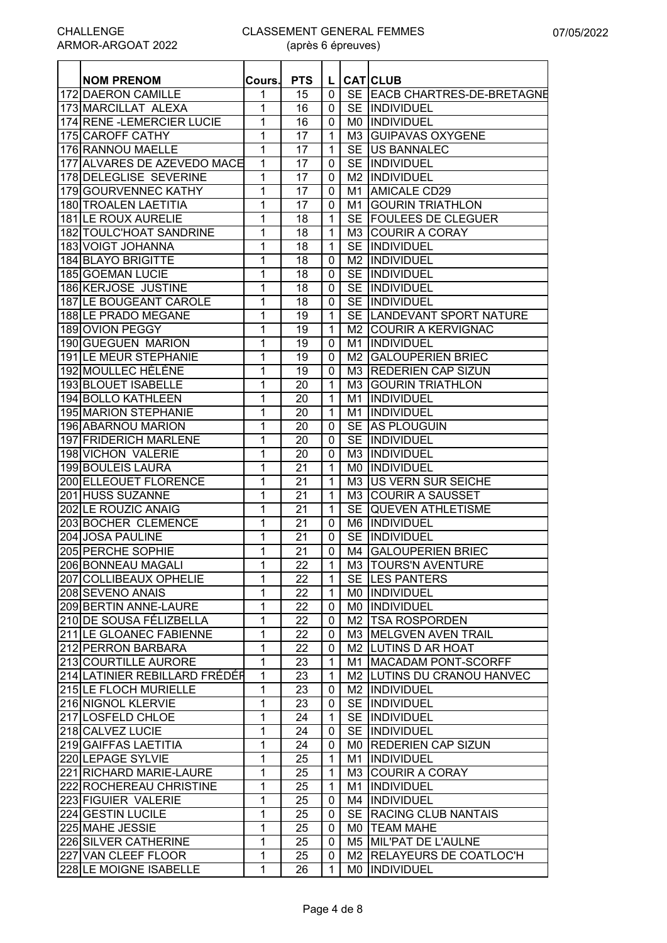| <b>NOM PRENOM</b>                                     | Cours.       | <b>PTS</b>      | L              |                | <b>CAT</b> CLUB              |
|-------------------------------------------------------|--------------|-----------------|----------------|----------------|------------------------------|
| <b>172 DAERON CAMILLE</b>                             | 1            | 15              | $\mathbf 0$    |                | SE EACB CHARTRES-DE-BRETAGNE |
| 173 MARCILLAT ALEXA                                   | 1            | 16              | $\mathbf{0}$   |                | SE INDIVIDUEL                |
| 174 RENE - LEMERCIER LUCIE                            | 1            | 16              | $\mathbf 0$    |                | MO  INDIVIDUEL               |
| 175 CAROFF CATHY                                      | 1            | 17              | $\mathbf 1$    |                | M3 GUIPAVAS OXYGENE          |
| 176 RANNOU MAELLE                                     | 1            | 17              | 1              |                | SE US BANNALEC               |
| 177 ALVARES DE AZEVEDO MACE                           | 1            | 17              | 0              |                | SE INDIVIDUEL                |
| 178 DELEGLISE SEVERINE                                | 1            | 17              | $\mathbf 0$    |                | M2  INDIVIDUEL               |
| 179 GOURVENNEC KATHY                                  | 1            | 17              | $\mathbf 0$    | $M_1$          | <b>AMICALE CD29</b>          |
| 180 TROALEN LAETITIA                                  | 1            | 17              | $\mathbf 0$    | M1             | <b>GOURIN TRIATHLON</b>      |
| 181 LE ROUX AURELIE                                   | 1            | 18              | 1              | <b>SE</b>      | <b>FOULEES DE CLEGUER</b>    |
| 182 TOULC'HOAT SANDRINE                               | 1            | 18              | 1              | M <sub>3</sub> | <b>COURIR A CORAY</b>        |
| 183 VOIGT JOHANNA                                     | 1            | 18              | 1              | <b>SE</b>      | INDIVIDUEL                   |
| 184 BLAYO BRIGITTE                                    | 1            | 18              | 0              | M2             | <b>INDIVIDUEL</b>            |
| 185 GOEMAN LUCIE                                      | 1            | 18              | 0              | <b>SE</b>      | INDIVIDUEL                   |
| 186 KERJOSE JUSTINE                                   | 1            | 18              | 0              |                | SE INDIVIDUEL                |
| <b>187 LE BOUGEANT CAROLE</b>                         | 1            | 18              | $\mathbf 0$    |                | SE INDIVIDUEL                |
| 188 LE PRADO MEGANE                                   | 1            | 19              | $\mathbf{1}$   |                | SE LANDEVANT SPORT NATURE    |
| 189 OVION PEGGY                                       | 1            | 19              | $\mathbf{1}$   |                | M2 COURIR A KERVIGNAC        |
| 190 GUEGUEN MARION                                    | 1            | 19              | $\mathbf 0$    | M1             | INDIVIDUEL                   |
| 191 LE MEUR STEPHANIE                                 | 1            | 19              | $\mathbf 0$    | M <sub>2</sub> | <b>GALOUPERIEN BRIEC</b>     |
| 192 MOULLEC HÉLÈNE                                    | 1            | $\overline{19}$ | $\overline{0}$ |                | M3 REDERIEN CAP SIZUN        |
| 193 BLOUET ISABELLE                                   | 1            | 20              | $\mathbf{1}$   |                | M3 GOURIN TRIATHLON          |
| <b>194 BOLLO KATHLEEN</b>                             | 1            | 20              | 1              |                | M1 INDIVIDUEL                |
| <b>195 MARION STEPHANIE</b>                           | 1            | 20              | $\mathbf{1}$   |                | M1 INDIVIDUEL                |
| 196 ABARNOU MARION                                    | 1            | $\overline{20}$ | $\mathbf 0$    |                | SE AS PLOUGUIN               |
| 197 FRIDERICH MARLENE                                 | 1            | 20              | 0              | <b>SE</b>      | <b>INDIVIDUEL</b>            |
| 198 VICHON VALERIE                                    | 1            | 20              | $\mathbf 0$    | M <sub>3</sub> | <b>INDIVIDUEL</b>            |
| 199 BOULEIS LAURA                                     | 1            | 21              | 1              | M <sub>0</sub> | INDIVIDUEL                   |
| 200 ELLEOUET FLORENCE                                 | 1            | 21              | 1              | M3             | US VERN SUR SEICHE           |
| 201 HUSS SUZANNE                                      | 1            | 21              | 1              |                | M3 COURIR A SAUSSET          |
| 202 LE ROUZIC ANAIG                                   | 1            | 21              | 1              | <b>SE</b>      | <b>QUEVEN ATHLETISME</b>     |
| 203 BOCHER CLEMENCE                                   | 1            | 21              | 0              |                | M6  INDIVIDUEL               |
| 204 JOSA PAULINE                                      | 1            | 21              | 0              |                | SE INDIVIDUEL                |
| 205 PERCHE SOPHIE                                     | 1            | 21              | $\mathbf 0$    |                | M4 GALOUPERIEN BRIEC         |
| 206 BONNEAU MAGALI                                    | 1            | 22              | 1              |                | M3  TOURS'N AVENTURE         |
| 207 COLLIBEAUX OPHELIE                                | $\mathbf{1}$ | 22              | $\mathbf{1}$   |                | SE LES PANTERS               |
| 208 SEVENO ANAIS                                      | 1            | 22              | $\mathbf 1$    |                | MO  INDIVIDUEL               |
| 209 BERTIN ANNE-LAURE                                 | 1            | 22              | 0              |                | MO INDIVIDUEL                |
| 210 DE SOUSA FÉLIZBELLA                               | 1            | 22              | 0              |                | M2   TSA ROSPORDEN           |
| 211 LE GLOANEC FABIENNE                               | 1            | 22              | 0              |                | M3 MELGVEN AVEN TRAIL        |
| 212 PERRON BARBARA                                    | 1            | 22              | 0              |                | M2 LUTINS D AR HOAT          |
|                                                       | $\mathbf{1}$ |                 | $\mathbf{1}$   |                | M1 MACADAM PONT-SCORFF       |
| 213 COURTILLE AURORE<br>214 LATINIER REBILLARD FRÉDÉR |              | 23              |                |                |                              |
|                                                       | 1            | 23              | $\mathbf{1}$   |                | M2 LUTINS DU CRANOU HANVEC   |
| <b>215 LE FLOCH MURIELLE</b>                          | 1            | 23              | 0              |                | M2  INDIVIDUEL               |
| 216 NIGNOL KLERVIE                                    | 1            | 23              | 0              |                | SE INDIVIDUEL                |
| 217 LOSFELD CHLOE                                     | 1            | 24              | 1              |                | SE INDIVIDUEL                |
| 218 CALVEZ LUCIE                                      | 1            | 24              | 0              |                | SE INDIVIDUEL                |
| 219 GAIFFAS LAETITIA                                  | 1            | 24              | 0              |                | MO REDERIEN CAP SIZUN        |
| 220 LEPAGE SYLVIE                                     | 1            | 25              | $\mathbf 1$    |                | M1  INDIVIDUEL               |
| 221 RICHARD MARIE-LAURE                               | 1            | 25              | $\mathbf{1}$   |                | M3 COURIR A CORAY            |
| 222 ROCHEREAU CHRISTINE                               | 1            | 25              | $\mathbf{1}$   |                | M1  INDIVIDUEL               |
| 223 FIGUIER VALERIE                                   | 1            | 25              | 0              |                | M4  INDIVIDUEL               |
| 224 GESTIN LUCILE                                     | 1            | 25              | 0              |                | SE RACING CLUB NANTAIS       |
| 225 MAHE JESSIE                                       | 1            | 25              | 0              |                | MO   TEAM MAHE               |
| 226 SILVER CATHERINE                                  | 1            | 25              | 0              |                | M5 MIL'PAT DE L'AULNE        |
| 227 VAN CLEEF FLOOR                                   | 1            | 25              | 0              |                | M2 RELAYEURS DE COATLOC'H    |
| 228 LE MOIGNE ISABELLE                                | $\mathbf{1}$ | 26              | 1              |                | MO INDIVIDUEL                |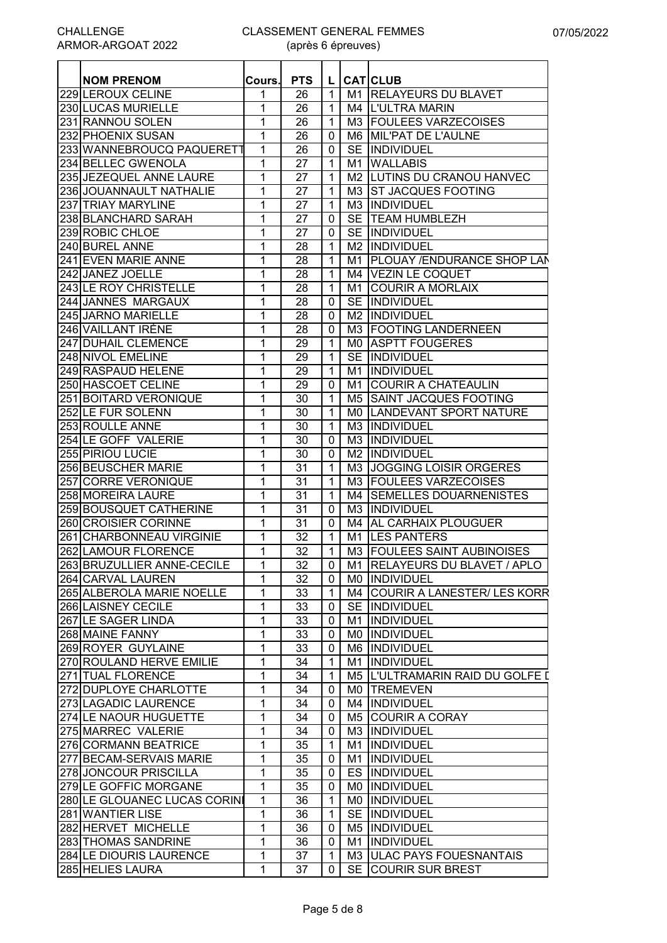#### CLASSEMENT GENERAL FEMMES (après 6 épreuves)

| <b>NOM PRENOM</b>            | Cours.         | <b>PTS</b> | L            |     | <b>CAT CLUB</b>                                     |
|------------------------------|----------------|------------|--------------|-----|-----------------------------------------------------|
| 229 LEROUX CELINE            | 1              | 26         | 1            |     | M1 <b>IRELAYEURS DU BLAVET</b>                      |
| 230 LUCAS MURIELLE           | 1              | 26         | 1            |     | M4 IL'ULTRA MARIN                                   |
| 231 RANNOU SOLEN             | 1              | 26         | $\mathbf 1$  |     | M3 FOULEES VARZECOISES                              |
| 232 PHOENIX SUSAN            | 1              | 26         | 0            |     | M6 MIL'PAT DE L'AULNE                               |
| 233 WANNEBROUCQ PAQUERETT    | 1              | 26         | 0            |     | SE INDIVIDUEL                                       |
| 234 BELLEC GWENOLA           | 1              | 27         | $\mathbf 1$  |     | M1 WALLABIS                                         |
| 235 JEZEQUEL ANNE LAURE      | 1              | 27         | 1            |     |                                                     |
| 236 JOUANNAULT NATHALIE      |                | 27         |              |     | M2 LUTINS DU CRANOU HANVEC<br>M3 ST JACQUES FOOTING |
|                              | 1              |            | 1            |     |                                                     |
| 237 <b>TRIAY MARYLINE</b>    | 1              | 27         | 1            |     | M3 IINDIVIDUEL<br><b>SE TEAM HUMBLEZH</b>           |
| 238 BLANCHARD SARAH          | 1              | 27         | 0            |     |                                                     |
| 239 ROBIC CHLOE              | 1              | 27         | 0            |     | SE INDIVIDUEL                                       |
| 240 BUREL ANNE               | 1              | 28         | $\mathbf{1}$ |     | M2  INDIVIDUEL                                      |
| 241 EVEN MARIE ANNE          | 1              | 28         | $\mathbf 1$  | M1  | <b>PLOUAY /ENDURANCE SHOP LAN</b>                   |
| 242 JANEZ JOELLE             | 1              | 28         | 1            |     | M4 VEZIN LE COQUET                                  |
| 243 LE ROY CHRISTELLE        | 1              | 28         | $\mathbf 1$  | M1  | <b>COURIR A MORLAIX</b>                             |
| 244 JANNES MARGAUX           | 1              | 28         | 0            |     | SE INDIVIDUEL                                       |
| 245 JARNO MARIELLE           | 1              | 28         | 0            |     | M <sub>2</sub> INDIVIDUEL                           |
| 246 VAILLANT IRÈNE           | 1              | 28         | 0            |     | M3 FOOTING LANDERNEEN                               |
| 247 DUHAIL CLEMENCE          | 1              | 29         | 1            |     | MO ASPTT FOUGERES                                   |
| 248 NIVOL EMELINE            | 1              | 29         | 1            |     | SE INDIVIDUEL                                       |
| 249 RASPAUD HELENE           | 1              | 29         | 1            |     | M1 INDIVIDUEL                                       |
| 250 HASCOET CELINE           | 1              | 29         | 0            | M1  | <b>COURIR A CHATEAULIN</b>                          |
| 251 BOITARD VERONIQUE        | 1              | 30         | 1            |     | M5 SAINT JACQUES FOOTING                            |
| 252 LE FUR SOLENN            | 1              | 30         | 1            | M0. | LANDEVANT SPORT NATURE                              |
| 253 ROULLE ANNE              | 1              | 30         | 1            |     | M3 IINDIVIDUEL                                      |
| 254 LE GOFF VALERIE          | 1              | 30         | 0            |     | M3 IINDIVIDUEL                                      |
| 255 PIRIOU LUCIE             | 1              | 30         | 0            |     | M <sub>2</sub> INDIVIDUEL                           |
| <b>256 BEUSCHER MARIE</b>    | 1              | 31         | 1            |     | M3 JJOGGING LOISIR ORGERES                          |
| 257 CORRE VERONIQUE          | 1              | 31         | $\mathbf{1}$ |     | M3 FOULEES VARZECOISES                              |
| 258 MOREIRA LAURE            | 1              | 31         | $\mathbf 1$  | M4  | <b>SEMELLES DOUARNENISTES</b>                       |
| 259 BOUSQUET CATHERINE       | 1              | 31         | 0            |     | M3 IINDIVIDUEL                                      |
| 260 CROISIER CORINNE         | 1              | 31         | 0            |     | M4 AL CARHAIX PLOUGUER                              |
| 261 CHARBONNEAU VIRGINIE     | 1              | 32         | $\mathbf{1}$ |     | M1 LES PANTERS                                      |
| 262 LAMOUR FLORENCE          | 1              | 32         | $\mathbf{1}$ |     | M3 FOULEES SAINT AUBINOISES                         |
| 263 BRUZULLIER ANNE-CECILE   | $\overline{1}$ | 32         |              |     | 0   M1   RELAYEURS DU BLAVET / APLO                 |
| 264 CARVAL LAUREN            | 1              | 32         | $\mathbf 0$  |     | MO INDIVIDUEL                                       |
| 265 ALBEROLA MARIE NOELLE    | 1              | 33         | 1            |     | M4 COURIR A LANESTER/ LES KORR                      |
| 266 LAISNEY CECILE           | 1              | 33         | 0            |     | SE INDIVIDUEL                                       |
| 267 LE SAGER LINDA           | 1              | 33         | 0            |     | M1  INDIVIDUEL                                      |
| 268 MAINE FANNY              | 1              | 33         | 0            |     | MO INDIVIDUEL                                       |
| 269 ROYER GUYLAINE           | 1              | 33         | 0            |     | M6 INDIVIDUEL                                       |
| 270 ROULAND HERVE EMILIE     | 1              | 34         | 1            |     | M1  INDIVIDUEL                                      |
| 271 TUAL FLORENCE            | 1              | 34         | 1            |     | M5 L'ULTRAMARIN RAID DU GOLFE D                     |
| 272 DUPLOYE CHARLOTTE        | 1              | 34         | $\mathbf 0$  |     | MO TREMEVEN                                         |
| 273 LAGADIC LAURENCE         | 1              | 34         | $\mathbf 0$  |     | M4  INDIVIDUEL                                      |
| 274 LE NAOUR HUGUETTE        | 1              | 34         | $\mathbf 0$  |     | M5 COURIR A CORAY                                   |
| 275 MARREC VALERIE           | 1              | 34         | 0            |     | M3 INDIVIDUEL                                       |
| 276 CORMANN BEATRICE         | 1              | 35         | $\mathbf 1$  |     | M1  INDIVIDUEL                                      |
| 277 BECAM-SERVAIS MARIE      | 1              | 35         | 0            |     | M1  INDIVIDUEL                                      |
| 278 JONCOUR PRISCILLA        | 1              | 35         | 0            |     | <b>ES INDIVIDUEL</b>                                |
| 279 LE GOFFIC MORGANE        | 1              | 35         | 0            |     | MO INDIVIDUEL                                       |
| 280 LE GLOUANEC LUCAS CORINI | 1              | 36         | 1            |     | MO INDIVIDUEL                                       |
| 281 WANTIER LISE             | 1              | 36         |              |     | SE INDIVIDUEL                                       |
|                              |                |            | 1            |     |                                                     |
| 282 HERVET MICHELLE          | 1              | 36         | 0            |     | M5  INDIVIDUEL                                      |
| 283 THOMAS SANDRINE          | 1              | 36         | 0            |     | M1  INDIVIDUEL                                      |
| 284 LE DIOURIS LAURENCE      | 1              | 37         | 1            |     | M3 ULAC PAYS FOUESNANTAIS                           |
| 285 HELIES LAURA             | 1              | 37         | 0            |     | SE COURIR SUR BREST                                 |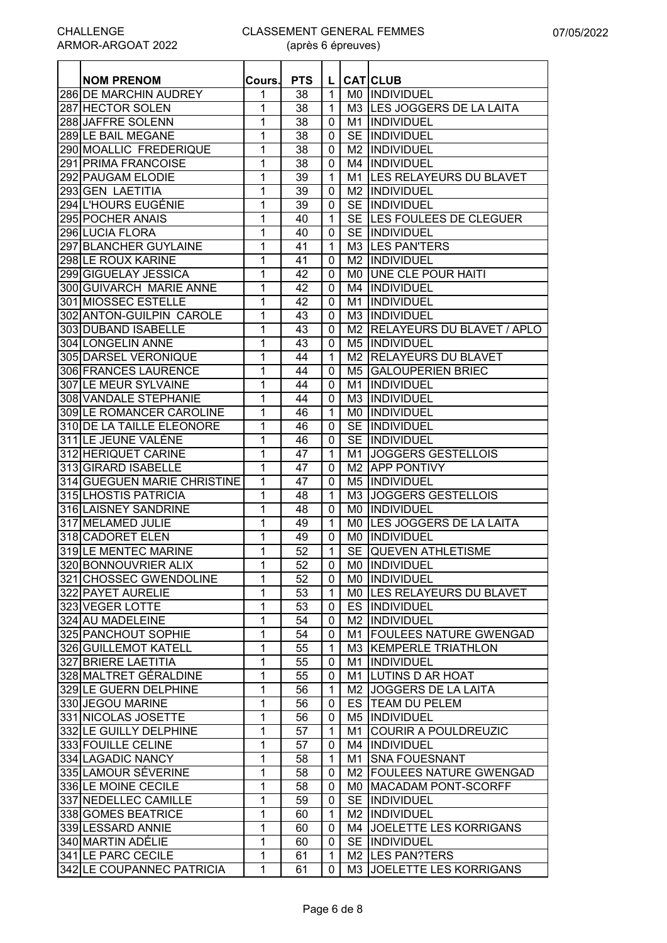| <b>NOM PRENOM</b>            | Cours. | <b>PTS</b> |                |    | L CATCLUB                     |
|------------------------------|--------|------------|----------------|----|-------------------------------|
| 286 DE MARCHIN AUDREY        | 1      | 38         | $\mathbf{1}$   |    | MO INDIVIDUEL                 |
| 287 HECTOR SOLEN             | 1      | 38         | $\mathbf{1}$   |    | M3 LES JOGGERS DE LA LAITA    |
| 288 JAFFRE SOLENN            | 1      | 38         | 0              |    | M <sub>1</sub> IINDIVIDUEL    |
| 289 LE BAIL MEGANE           | 1      | 38         | $\mathbf{0}$   |    | SE INDIVIDUEL                 |
| 290 MOALLIC FREDERIQUE       | 1      | 38         | $\mathbf{0}$   |    | M2  INDIVIDUEL                |
| 291 PRIMA FRANCOISE          | 1      | 38         | 0              |    | M4  INDIVIDUEL                |
| 292 PAUGAM ELODIE            | 1      | 39         | $\mathbf{1}$   |    | M1 LES RELAYEURS DU BLAVET    |
| 293 GEN LAETITIA             | 1      | 39         | $\mathbf{0}$   |    | M2  INDIVIDUEL                |
| 294 L'HOURS EUGÉNIE          | 1      | 39         | 0              |    | SE INDIVIDUEL                 |
| 295 POCHER ANAIS             | 1      | 40         | 1              |    | SE LES FOULEES DE CLEGUER     |
| 296 LUCIA FLORA              | 1      | 40         | 0              |    | SE INDIVIDUEL                 |
| 297 BLANCHER GUYLAINE        | 1      | 41         | 1              |    | M3 LES PAN'TERS               |
| 298 LE ROUX KARINE           | 1      | 41         | 0              |    | <b>M2 IINDIVIDUEL</b>         |
| 299 GIGUELAY JESSICA         | 1      | 42         | 0              |    | MO JUNE CLE POUR HAITI        |
| 300 GUIVARCH MARIE ANNE      | 1      | 42         | 0              |    | M4 INDIVIDUEL                 |
| 301 MIOSSEC ESTELLE          | 1      | 42         | $\mathbf{0}$   |    | M1  INDIVIDUEL                |
| 302 ANTON-GUILPIN CAROLE     | 1      | 43         | 0              |    | M3  INDIVIDUEL                |
| 303 DUBAND ISABELLE          | 1      | 43         | $\mathbf{0}$   |    | M2 RELAYEURS DU BLAVET / APLO |
| 304 LONGELIN ANNE            | 1      | 43         | $\mathbf{0}$   |    | M5 INDIVIDUEL                 |
| 305 DARSEL VERONIQUE         | 1      | 44         | $\mathbf{1}$   |    | M2 RELAYEURS DU BLAVET        |
| 306 FRANCES LAURENCE         | 1      | 44         | $\mathbf{0}$   |    | M5   GALOUPERIEN BRIEC        |
| <b>307 LE MEUR SYLVAINE</b>  | 1      | 44         | 0              |    | M1  INDIVIDUEL                |
| <b>308 VANDALE STEPHANIE</b> | 1      | 44         | $\mathbf{0}$   |    | M3 INDIVIDUEL                 |
| 309 LE ROMANCER CAROLINE     | 1      | 46         | $\mathbf{1}$   |    | MO  INDIVIDUEL                |
| 310 DE LA TAILLE ELEONORE    | 1      | 46         | $\mathbf{0}$   |    | SE INDIVIDUEL                 |
| 311 LE JEUNE VALÈNE          | 1      | 46         | 0              |    | SE INDIVIDUEL                 |
| 312 HERIQUET CARINE          | 1      | 47         | $\mathbf{1}$   | M1 | <b>JOGGERS GESTELLOIS</b>     |
| 313 GIRARD ISABELLE          | 1      | 47         | 0              | M2 | <b>APP PONTIVY</b>            |
| 314 GUEGUEN MARIE CHRISTINE  | 1      | 47         | 0              |    | M5 INDIVIDUEL                 |
| 315 LHOSTIS PATRICIA         | 1      | 48         | 1              |    | M3 JOGGERS GESTELLOIS         |
| 316 LAISNEY SANDRINE         | 1      | 48         | 0              |    | MO INDIVIDUEL                 |
| 317 MELAMED JULIE            | 1      | 49         | $\mathbf 1$    |    | MO LES JOGGERS DE LA LAITA    |
| 318 CADORET ELEN             | 1      | 49         | 0              |    | MO INDIVIDUEL                 |
| 319 LE MENTEC MARINE         | 1      | 52         | $\mathbf{1}$   |    | SE QUEVEN ATHLETISME          |
| 320 BONNOUVRIER ALIX         | 1      | 52         | $\overline{0}$ |    | M0  INDIVIDUEL                |
| 321 CHOSSEC GWENDOLINE       | 1      | 52         | 0              |    | MO INDIVIDUEL                 |
| 322 PAYET AURELIE            | 1      | 53         | $\mathbf{1}$   |    | MO LES RELAYEURS DU BLAVET    |
| 323 VEGER LOTTE              | 1      | 53         | 0              |    | ES INDIVIDUEL                 |
| 324 AU MADELEINE             | 1      | 54         | 0              |    | M2  INDIVIDUEL                |
| 325 PANCHOUT SOPHIE          | 1      | 54         | 0              |    | M1 FOULEES NATURE GWENGAD     |
| 326 GUILLEMOT KATELL         | 1      | 55         | $\mathbf{1}$   |    | M3 KEMPERLE TRIATHLON         |
| 327 BRIERE LAETITIA          | 1      | 55         | 0              |    | M1  INDIVIDUEL                |
| 328 MALTRET GÉRALDINE        | 1      | 55         | 0              |    | M1 LUTINS D AR HOAT           |
| 329 LE GUERN DELPHINE        | 1      | 56         | $\mathbf{1}$   |    | M2 JOGGERS DE LA LAITA        |
| 330 JEGOU MARINE             | 1      | 56         | 0              |    | ES   TEAM DU PELEM            |
| 331 NICOLAS JOSETTE          | 1      | 56         | 0              |    | M5 INDIVIDUEL                 |
| 332 LE GUILLY DELPHINE       | 1      | 57         | 1              | M1 | <b>COURIR A POULDREUZIC</b>   |
| 333 FOUILLE CELINE           | 1      | 57         | 0              |    | M4  INDIVIDUEL                |
| 334 LAGADIC NANCY            | 1      | 58         | $\mathbf{1}$   |    | M1 SNA FOUESNANT              |
| 335 LAMOUR SÉVERINE          | 1      | 58         | 0              |    | M2 FOULEES NATURE GWENGAD     |
| 336 LE MOINE CECILE          | 1      | 58         | 0              |    | M0 MACADAM PONT-SCORFF        |
| 337 NEDELLEC CAMILLE         | 1      | 59         | 0              |    | SE INDIVIDUEL                 |
| 338 GOMES BEATRICE           | 1      | 60         | $\mathbf{1}$   |    | M2  INDIVIDUEL                |
| 339 LESSARD ANNIE            | 1      | 60         | 0              |    | M4 JOELETTE LES KORRIGANS     |
| 340 MARTIN ADÉLIE            | 1      | 60         | 0              |    | SE INDIVIDUEL                 |
| 341 LE PARC CECILE           | 1      | 61         | $\mathbf{1}$   |    | M2 LES PAN?TERS               |
| 342 LE COUPANNEC PATRICIA    | 1      | 61         | 0              |    | M3 JOELETTE LES KORRIGANS     |
|                              |        |            |                |    |                               |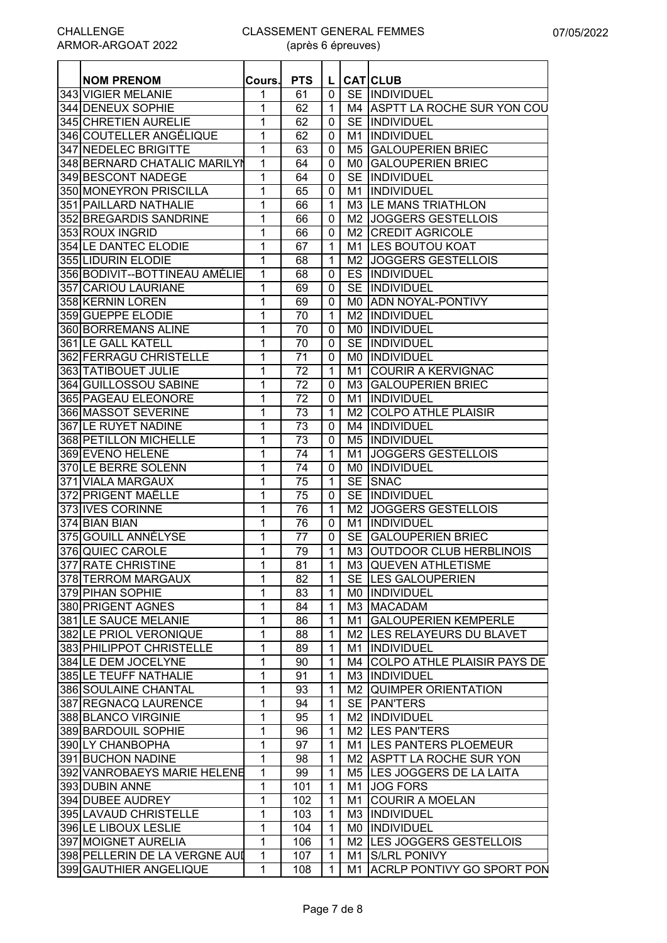#### CLASSEMENT GENERAL FEMMES (après 6 épreuves)

| <b>NOM PRENOM</b>              | Cours.       | <b>PTS</b>      | L.             |     | <b>CAT CLUB</b>                |
|--------------------------------|--------------|-----------------|----------------|-----|--------------------------------|
| 343 VIGIER MELANIE             | 1            | 61              | 0              |     | SE INDIVIDUEL                  |
| 344 DENEUX SOPHIE              | 1            | 62              | $\mathbf{1}$   |     | M4 ASPTT LA ROCHE SUR YON COU  |
| 345 CHRETIEN AURELIE           | 1            | 62              | 0              |     | SE IINDIVIDUEL                 |
| 346 COUTELLER ANGÉLIQUE        | 1            | 62              | 0              |     | M1 IINDIVIDUEL                 |
| 347 NEDELEC BRIGITTE           | 1            | 63              | $\mathbf 0$    |     | M5 GALOUPERIEN BRIEC           |
| 348 BERNARD CHATALIC MARILYN   | 1            | 64              | 0              |     | MO GALOUPERIEN BRIEC           |
| 349 BESCONT NADEGE             | 1            | 64              | 0              |     | SE INDIVIDUEL                  |
| 350 MONEYRON PRISCILLA         | 1            | 65              |                |     | INDIVIDUEL                     |
|                                |              |                 | 0              | M1  |                                |
| 351 PAILLARD NATHALIE          | 1            | 66              | $\mathbf{1}$   |     | M3 LE MANS TRIATHLON           |
| 352 BREGARDIS SANDRINE         | 1            | 66              | 0              |     | M2 JOGGERS GESTELLOIS          |
| 353 ROUX INGRID                | 1            | 66              | 0              |     | M2 CREDIT AGRICOLE             |
| 354 LE DANTEC ELODIE           | 1            | 67              | $\mathbf{1}$   |     | M1 LES BOUTOU KOAT             |
| 355 LIDURIN ELODIE             | 1            | 68              | 1              |     | M2 JOGGERS GESTELLOIS          |
| 356 BODIVIT-- BOTTINEAU AMÉLIE | 1            | 68              | 0              |     | <b>ES INDIVIDUEL</b>           |
| 357 CARIOU LAURIANE            | 1            | 69              | 0              |     | SE INDIVIDUEL                  |
| 358 KERNIN LOREN               | 1            | 69              | 0              |     | M0 ADN NOYAL-PONTIVY           |
| 359 GUEPPE ELODIE              | 1            | 70              | $\mathbf{1}$   |     | M2 INDIVIDUEL                  |
| 360 BORREMANS ALINE            | 1            | 70              | 0              |     | MO  INDIVIDUEL                 |
| 361 LE GALL KATELL             | 1            | 70              | $\mathbf 0$    |     | SE INDIVIDUEL                  |
| 362 FERRAGU CHRISTELLE         | 1            | 71              | $\mathbf 0$    |     | <b>MO IINDIVIDUEL</b>          |
| 363 TATIBOUET JULIE            | 1            | $\overline{72}$ | 1              | M1  | <b>COURIR A KERVIGNAC</b>      |
| 364 GUILLOSSOU SABINE          | 1            | $\overline{72}$ | 0              |     | M3 GALOUPERIEN BRIEC           |
| 365 PAGEAU ELEONORE            | 1            | 72              | 0              |     | M1  INDIVIDUEL                 |
| 366 MASSOT SEVERINE            | 1            | $\overline{73}$ | $\mathbf{1}$   |     | M2 COLPO ATHLE PLAISIR         |
| <b>367 LE RUYET NADINE</b>     | 1            | 73              | 0              |     | M4 INDIVIDUEL                  |
| 368 PETILLON MICHELLE          | 1            | 73              | 0              |     | M5 INDIVIDUEL                  |
| 369 EVENO HELENE               | 1            | 74              | 1              | M1  | <b>JOGGERS GESTELLOIS</b>      |
| 370 LE BERRE SOLENN            | 1            | 74              | 0              | M0. | INDIVIDUEL                     |
| 371 VIALA MARGAUX              | 1            | 75              | 1              |     | SE SNAC                        |
| 372 PRIGENT MAËLLE             | 1            | 75              | 0              |     | SE INDIVIDUEL                  |
| 373 IVES CORINNE               | 1            | 76              | 1              |     | M2 JOGGERS GESTELLOIS          |
| 374 BIAN BIAN                  | 1            | 76              | 0              | M1  | IINDIVIDUEL                    |
| 375 GOUILL ANNÉLYSE            | 1            | 77              | $\mathbf{0}$   |     | SE GALOUPERIEN BRIEC           |
| 376 QUIEC CAROLE               | 1            | 79              | $\mathbf{1}$   |     | M3 OUTDOOR CLUB HERBLINOIS     |
| 377 RATE CHRISTINE             | $\mathbf{1}$ | $\overline{81}$ | $\overline{1}$ |     | M3 QUEVEN ATHLETISME           |
| 378 TERROM MARGAUX             | 1            | 82              | $\mathbf{1}$   |     | SE LES GALOUPERIEN             |
| 379 PIHAN SOPHIE               | 1            | 83              | $\mathbf{1}$   |     | MO INDIVIDUEL                  |
| 380 PRIGENT AGNES              | 1            | 84              | $\mathbf{1}$   |     | M3 MACADAM                     |
| 381 LE SAUCE MELANIE           | 1            | 86              | $\mathbf{1}$   |     | M1 GALOUPERIEN KEMPERLE        |
| 382 LE PRIOL VERONIQUE         | 1            | 88              | $\mathbf{1}$   |     | M2 ILES RELAYEURS DU BLAVET    |
| 383 PHILIPPOT CHRISTELLE       | 1            | 89              | $\mathbf{1}$   |     | M1  INDIVIDUEL                 |
| 384 LE DEM JOCELYNE            | 1            | 90              | $\mathbf 1$    |     | M4 COLPO ATHLE PLAISIR PAYS DE |
| 385 LE TEUFF NATHALIE          | 1            | 91              | $\mathbf{1}$   |     | M3 INDIVIDUEL                  |
| 386 SOULAINE CHANTAL           | 1            | 93              | $\mathbf 1$    |     | M2 QUIMPER ORIENTATION         |
| 387 REGNACQ LAURENCE           | 1            | 94              |                |     | SE PANTERS                     |
|                                |              |                 | $\mathbf 1$    |     | M2  INDIVIDUEL                 |
| 388 BLANCO VIRGINIE            | 1            | 95              | $\mathbf 1$    |     |                                |
| 389 BARDOUIL SOPHIE            | 1            | 96              | 1              |     | M2 LES PAN'TERS                |
| 390 LY CHANBOPHA               | 1            | 97              | $\mathbf{1}$   |     | M1 LES PANTERS PLOEMEUR        |
| 391 BUCHON NADINE              | 1            | 98              | $\mathbf{1}$   |     | M2 ASPTT LA ROCHE SUR YON      |
| 392 VANROBAEYS MARIE HELENE    | 1            | 99              | $\mathbf{1}$   |     | M5 LES JOGGERS DE LA LAITA     |
| 393 DUBIN ANNE                 | 1            | 101             | $\mathbf{1}$   |     | M <sub>1</sub> JOG FORS        |
| 394 DUBEE AUDREY               | 1            | 102             | $\mathbf{1}$   |     | M1 COURIR A MOELAN             |
| 395 LAVAUD CHRISTELLE          | 1            | 103             | $\mathbf{1}$   |     | M3  INDIVIDUEL                 |
| 396 LE LIBOUX LESLIE           | 1            | 104             | $\mathbf{1}$   |     | MO  INDIVIDUEL                 |
| 397 MOIGNET AURELIA            | 1            | 106             | $\mathbf{1}$   |     | M2 LES JOGGERS GESTELLOIS      |
| 398 PELLERIN DE LA VERGNE AUI  | 1            | 107             | $\mathbf{1}$   |     | M1 S/LRL PONIVY                |
| 399 GAUTHIER ANGELIQUE         | 1            | 108             | 1              |     | M1 ACRLP PONTIVY GO SPORT PON  |